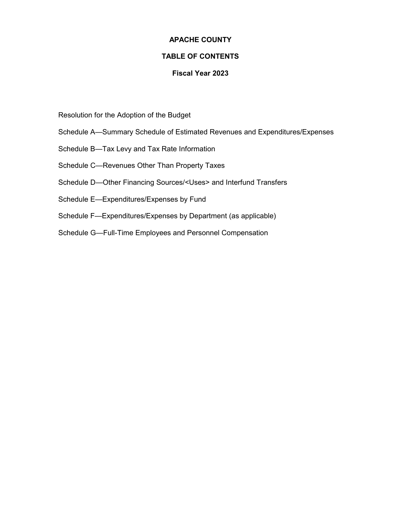# **APACHE COUNTY**

# **TABLE OF CONTENTS**

# **Fiscal Year 2023**

- Resolution for the Adoption of the Budget
- Schedule A—Summary Schedule of Estimated Revenues and Expenditures/Expenses
- Schedule B—Tax Levy and Tax Rate Information
- Schedule C—Revenues Other Than Property Taxes
- Schedule D—Other Financing Sources/<Uses> and Interfund Transfers
- Schedule E—Expenditures/Expenses by Fund
- Schedule F—Expenditures/Expenses by Department (as applicable)
- Schedule G—Full-Time Employees and Personnel Compensation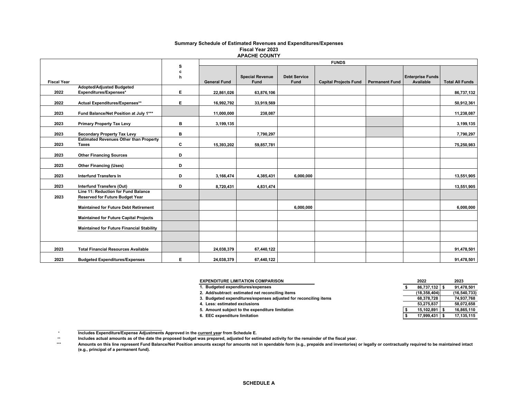#### **APACHE COUNTY Summary Schedule of Estimated Revenues and Expenditures/Expenses Fiscal Year 2023**

|                    |                                                                               |        | <b>FUNDS</b>        |                        |                     |                              |                       |                         |                        |
|--------------------|-------------------------------------------------------------------------------|--------|---------------------|------------------------|---------------------|------------------------------|-----------------------|-------------------------|------------------------|
|                    |                                                                               | s<br>c |                     |                        |                     |                              |                       |                         |                        |
|                    |                                                                               | h      |                     | <b>Special Revenue</b> | <b>Debt Service</b> |                              |                       | <b>Enterprise Funds</b> |                        |
| <b>Fiscal Year</b> |                                                                               |        | <b>General Fund</b> | <b>Fund</b>            | Fund                | <b>Capital Projects Fund</b> | <b>Permanent Fund</b> | Available               | <b>Total All Funds</b> |
|                    | Adopted/Adjusted Budgeted                                                     |        |                     |                        |                     |                              |                       |                         |                        |
| 2022               | Expenditures/Expenses*                                                        | E.     | 22,861,026          | 63,876,106             |                     |                              |                       |                         | 86,737,132             |
| 2022               | Actual Expenditures/Expenses**                                                | E.     | 16,992,792          | 33,919,569             |                     |                              |                       |                         | 50,912,361             |
| 2023               | Fund Balance/Net Position at July 1***                                        |        | 11,000,000          | 238,087                |                     |                              |                       |                         | 11,238,087             |
| 2023               | <b>Primary Property Tax Levy</b>                                              | в      | 3,199,135           |                        |                     |                              |                       |                         | 3,199,135              |
| 2023               | <b>Secondary Property Tax Levy</b>                                            | в      |                     | 7,790,297              |                     |                              |                       |                         | 7,790,297              |
| 2023               | <b>Estimated Revenues Other than Property</b><br><b>Taxes</b>                 | c      | 15,393,202          | 59,857,781             |                     |                              |                       |                         | 75,250,983             |
| 2023               | <b>Other Financing Sources</b>                                                | D      |                     |                        |                     |                              |                       |                         |                        |
| 2023               | <b>Other Financing (Uses)</b>                                                 | D      |                     |                        |                     |                              |                       |                         |                        |
| 2023               | <b>Interfund Transfers In</b>                                                 | D      | 3,166,474           | 4,385,431              | 6,000,000           |                              |                       |                         | 13,551,905             |
| 2023               | <b>Interfund Transfers (Out)</b>                                              | D      | 8,720,431           | 4,831,474              |                     |                              |                       |                         | 13,551,905             |
| 2023               | Line 11: Reduction for Fund Balance<br><b>Reserved for Future Budget Year</b> |        |                     |                        |                     |                              |                       |                         |                        |
|                    | <b>Maintained for Future Debt Retirement</b>                                  |        |                     |                        | 6,000,000           |                              |                       |                         | 6,000,000              |
|                    | <b>Maintained for Future Capital Projects</b>                                 |        |                     |                        |                     |                              |                       |                         |                        |
|                    | <b>Maintained for Future Financial Stability</b>                              |        |                     |                        |                     |                              |                       |                         |                        |
|                    |                                                                               |        |                     |                        |                     |                              |                       |                         |                        |
| 2023               | <b>Total Financial Resources Available</b>                                    |        | 24,038,379          | 67,440,122             |                     |                              |                       |                         | 91,478,501             |
| 2023               | <b>Budgeted Expenditures/Expenses</b>                                         | Е      | 24,038,379          | 67,440,122             |                     |                              |                       |                         | 91,478,501             |

| <b>EXPENDITURE LIMITATION COMPARISON</b>                         | 2022           | 2023           |
|------------------------------------------------------------------|----------------|----------------|
| 1. Budgeted expenditures/expenses                                | 86,737,132     | 91,478,501     |
| 2. Add/subtract: estimated net reconciling items                 | (18, 358, 404) | (16, 540, 733) |
| 3. Budgeted expenditures/expenses adjusted for reconciling items | 68,378,728     | 74,937,768     |
| 4. Less: estimated exclusions                                    | 53,275,837     | 58,072,658     |
| 5. Amount subject to the expenditure limitation                  | 15.102.891     | 16,865,110     |
| 6. EEC expenditure limitation                                    | 17.999.431     | 17,135,115     |

 $^\star$ **Includes Expenditure/Expense Adjustments Approved in the current year from Schedule E.** 

 \*\***Includes actual amounts as of the date the proposed budget was prepared, adjusted for estimated activity for the remainder of the fiscal year.**

 \*\*\***Amounts on this line represent Fund Balance/Net Position amounts except for amounts not in spendable form (e.g., prepaids and inventories) or legally or contractually required to be maintained intact (e.g., principal of a permanent fund).**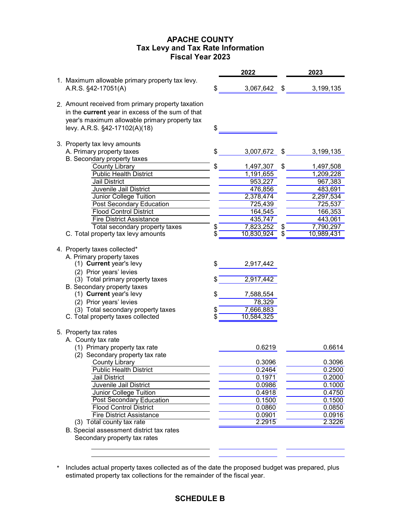# **APACHE COUNTY Fiscal Year 2023 Tax Levy and Tax Rate Information**

|                                                   | 2022             |          | 2023       |
|---------------------------------------------------|------------------|----------|------------|
| 1. Maximum allowable primary property tax levy.   |                  |          |            |
| A.R.S. §42-17051(A)                               | \$<br>3,067,642  | \$       | 3,199,135  |
|                                                   |                  |          |            |
| 2. Amount received from primary property taxation |                  |          |            |
| in the current year in excess of the sum of that  |                  |          |            |
| year's maximum allowable primary property tax     |                  |          |            |
| levy. A.R.S. §42-17102(A)(18)                     | \$               |          |            |
|                                                   |                  |          |            |
| 3. Property tax levy amounts                      |                  |          |            |
| A. Primary property taxes                         | \$<br>3,007,672  | \$       | 3,199,135  |
| B. Secondary property taxes                       |                  |          |            |
| <b>County Library</b>                             | \$<br>1,497,307  | \$       | 1,497,508  |
| <b>Public Health District</b>                     | 1,191,655        |          | 1,209,228  |
| <b>Jail District</b>                              | 953,227          |          | 967,383    |
| Juvenile Jail District                            | 476,856          |          | 483,691    |
| Junior College Tuition                            | 2,378,474        |          | 2,297,534  |
| <b>Post Secondary Education</b>                   | 725,439          |          | 725,537    |
| <b>Flood Control District</b>                     | 164,545          |          | 166,353    |
| <b>Fire District Assistance</b>                   | 435,747          |          | 443,061    |
| Total secondary property taxes                    | 7,823,252        |          | 7,790,297  |
| C. Total property tax levy amounts                | 10,830,924       | \$<br>\$ | 10,989,431 |
|                                                   |                  |          |            |
| 4. Property taxes collected*                      |                  |          |            |
| A. Primary property taxes                         |                  |          |            |
| (1) Current year's levy                           | \$<br>2,917,442  |          |            |
| (2) Prior years' levies                           |                  |          |            |
| (3) Total primary property taxes                  | 2,917,442        |          |            |
| B. Secondary property taxes                       |                  |          |            |
| (1) Current year's levy                           | \$<br>7,588,554  |          |            |
| (2) Prior years' levies                           | 78,329           |          |            |
| (3) Total secondary property taxes                | 7,666,883        |          |            |
| C. Total property taxes collected                 | \$<br>10,584,325 |          |            |
|                                                   |                  |          |            |
| 5. Property tax rates                             |                  |          |            |
| A. County tax rate                                |                  |          |            |
| (1) Primary property tax rate                     | 0.6219           |          | 0.6614     |
| (2) Secondary property tax rate                   |                  |          |            |
|                                                   |                  |          |            |
| County Library                                    | 0.3096           |          | 0.3096     |
| <b>Public Health District</b>                     | 0.2464           |          | 0.2500     |
| Jail District                                     | 0.1971           |          | 0.2000     |
| Juvenile Jail District                            | 0.0986           |          | 0.1000     |
| Junior College Tuition                            | 0.4918           |          | 0.4750     |
| <b>Post Secondary Education</b>                   | 0.1500           |          | 0.1500     |
| <b>Flood Control District</b>                     | 0.0860           |          | 0.0850     |
| <b>Fire District Assistance</b>                   | 0.0901<br>2.2915 |          | 0.0916     |
| (3) Total county tax rate                         |                  |          | 2.3226     |
| B. Special assessment district tax rates          |                  |          |            |
| Secondary property tax rates                      |                  |          |            |

<sup>\*</sup> Includes actual property taxes collected as of the date the proposed budget was prepared, plus estimated property tax collections for the remainder of the fiscal year.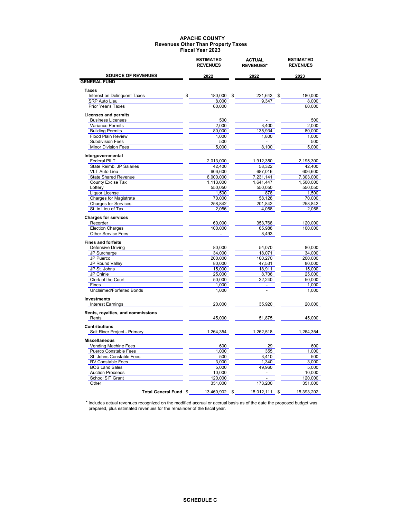|                                                      | <b>ESTIMATED</b><br><b>REVENUES</b> | <b>ACTUAL</b><br><b>REVENUES*</b> | <b>ESTIMATED</b><br><b>REVENUES</b> |  |
|------------------------------------------------------|-------------------------------------|-----------------------------------|-------------------------------------|--|
| <b>SOURCE OF REVENUES</b>                            | 2022                                | 2022                              | 2023                                |  |
| <b>GENERAL FUND</b>                                  |                                     |                                   |                                     |  |
| <b>Taxes</b>                                         |                                     |                                   |                                     |  |
| Interest on Delinquent Taxes<br>\$                   | 180,000<br>\$                       | 221,643                           | 180,000<br>S                        |  |
| SRP Auto Lieu                                        | 8,000                               | 9,347                             | 8.000                               |  |
| Prior Year's Taxes                                   | 60.000                              |                                   | 60,000                              |  |
| <b>Licenses and permits</b>                          |                                     |                                   |                                     |  |
| <b>Business Licenses</b>                             | 500                                 |                                   | 500                                 |  |
| Variance Permits                                     | 2,000                               | 3,400                             | 2,000                               |  |
| <b>Building Permits</b>                              | 80,000                              | 135,934                           | 80,000                              |  |
| <b>Flood Plain Review</b><br><b>Subdivision Fees</b> | 1,000                               | 1,800<br>$\blacksquare$           | 1,000                               |  |
| <b>Minor Division Fees</b>                           | 500<br>5,000                        | 8,100                             | 500<br>5,000                        |  |
|                                                      |                                     |                                   |                                     |  |
| Intergovernmental                                    |                                     |                                   |                                     |  |
| <b>Federal PILT</b>                                  | 2,013,000                           | 1,912,350                         | 2,195,300                           |  |
| State Reimb. JP Salaries<br><b>VLT Auto Lieu</b>     | 42,400<br>606,600                   | 58,322<br>687,016                 | 42,400<br>606,600                   |  |
| <b>State Shared Revenue</b>                          | 6,000,000                           | 7,231,141                         | 7,303,000                           |  |
| County Excise Tax                                    | 1,113,000                           | 1,641,447                         | 1,500,000                           |  |
| Lottery                                              | 550,050                             | 550,050                           | 550,050                             |  |
| Liquor License                                       | 1,500                               | 878                               | 1,500                               |  |
| <b>Charges for Magistrate</b>                        | 70,000                              | 58,128                            | 70,000                              |  |
| <b>Charges for Services</b>                          | 258,842                             | 201,842                           | 258,842                             |  |
| St. in Lieu of Tax                                   | 2,056                               | 4,058                             | 2,056                               |  |
|                                                      |                                     |                                   |                                     |  |
| <b>Charges for services</b>                          |                                     |                                   |                                     |  |
| Recorder                                             | 60,000                              | 353,768                           | 120,000                             |  |
| <b>Election Charges</b>                              | 100,000                             | 65,988                            | 100,000                             |  |
| <b>Other Service Fees</b>                            | $\overline{a}$                      | 8,493                             |                                     |  |
| <b>Fines and forfeits</b>                            |                                     |                                   |                                     |  |
| <b>Defensive Driving</b>                             | 80,000                              | 54,070                            | 80,000                              |  |
| JP Surcharge                                         | 34,000                              | 18,071                            | 34,000                              |  |
| JP Puerco                                            | 200,000                             | 100,270                           | 200,000                             |  |
| JP Round Valley                                      | 80,000                              | 47,531                            | 80,000                              |  |
| JP St. Johns                                         | 15,000                              | 18,911                            | 15,000                              |  |
| JP Chinle                                            | 25,000                              | 8,706                             | 25,000                              |  |
| Clerk of the Court                                   | 50,000                              | 32,240                            | 50,000                              |  |
| Fines                                                | 1,000                               | $\overline{\phantom{a}}$          | 1,000                               |  |
| Unclaimed/Forfeited Bonds                            | 1,000                               | $\mathbb{L}$                      | 1,000                               |  |
| <b>Investments</b>                                   |                                     |                                   |                                     |  |
| <b>Interest Earnings</b>                             | 20,000                              | 35,920                            | 20,000                              |  |
| Rents, royalties, and commissions                    |                                     |                                   |                                     |  |
| Rents                                                | 45,000                              | 51,875                            | 45,000                              |  |
| <b>Contributions</b>                                 |                                     |                                   |                                     |  |
| Salt River Project - Primary                         | 1,264,354                           | 1,262,518                         | 1.264.354                           |  |
| <b>Miscellaneous</b>                                 |                                     |                                   |                                     |  |
| Vending Machine Fees                                 | 600                                 | 29                                | 600                                 |  |
| <b>Puerco Constable Fees</b>                         | 1,000                               | 355                               | 1.000                               |  |
| St. Johns Constable Fees                             | 500                                 | 3,410                             | 500                                 |  |
| <b>RV Constable Fees</b>                             | 3,000                               | 1,340                             | 3,000                               |  |
| <b>BOS Land Sales</b>                                | 5,000                               | 49,960                            | 5,000                               |  |
| <b>Auction Proceeds</b>                              | 10,000                              | $\overline{\phantom{a}}$          | 10,000                              |  |
| School SIT Grant                                     | 120,000                             | $\overline{a}$                    | 120.000                             |  |
| Other                                                | 351,000                             | 173,200                           | 351,000                             |  |
| <b>Total General Fund \$</b>                         | 13,460,902<br>\$.                   | 15,012,111                        | 15,393,202<br>\$                    |  |

 \* Includes actual revenues recognized on the modified accrual or accrual basis as of the date the proposed budget was prepared, plus estimated revenues for the remainder of the fiscal year.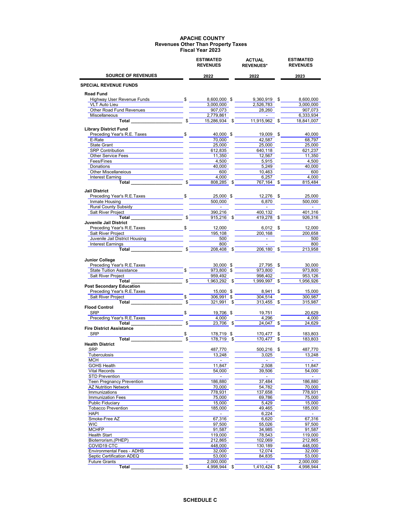|                                                                                                                                                                                                                                | <b>ESTIMATED</b><br><b>REVENUES</b> |      | <b>ACTUAL</b><br><b>REVENUES*</b> | <b>ESTIMATED</b><br><b>REVENUES</b> |
|--------------------------------------------------------------------------------------------------------------------------------------------------------------------------------------------------------------------------------|-------------------------------------|------|-----------------------------------|-------------------------------------|
| <b>SOURCE OF REVENUES</b>                                                                                                                                                                                                      | 2022                                |      | 2022                              | 2023                                |
| <b>SPECIAL REVENUE FUNDS</b>                                                                                                                                                                                                   |                                     |      |                                   |                                     |
| Road Fund                                                                                                                                                                                                                      |                                     |      |                                   |                                     |
| Highway User Revenue Funds                                                                                                                                                                                                     | \$<br>8,600,000 \$                  |      | 9,360,919 \$                      | 8,600,000                           |
| <b>VLT Auto Lieu</b>                                                                                                                                                                                                           | 3,000,000                           |      | 2,526,783                         | 3,000,000                           |
| Other Road Fund Revenues                                                                                                                                                                                                       | 907,073                             |      | 28,260                            | 907,073                             |
| Miscellaneous                                                                                                                                                                                                                  | \$<br>2,779,861                     |      | $\sim$ 100 $\mu$                  | 6,333,934                           |
| Total                                                                                                                                                                                                                          | 15,286,934 \$                       |      | 11,915,962                        | \$<br>18,841,007                    |
| <b>Library District Fund</b><br>Preceding Year's R.E. Taxes                                                                                                                                                                    | \$<br>40,000 \$                     |      | 19,009                            | \$<br>40,000                        |
| E-Rate and the state of the state of the state of the state of the state of the state of the state of the state of the state of the state of the state of the state of the state of the state of the state of the state of the | 70,000                              |      | 42,587                            | 68,797                              |
| State Grant                                                                                                                                                                                                                    | 25,000                              |      | 25.000                            | 25,000                              |
| <b>SRP Contribution</b>                                                                                                                                                                                                        | 612,835                             |      | 640,118                           | 621,237                             |
| <b>Other Service Fees</b>                                                                                                                                                                                                      | 11,350                              |      | 12,567                            | 11,350                              |
| Fees/Fines                                                                                                                                                                                                                     | 4,500                               |      | 5,915                             | 4,500                               |
| Donations                                                                                                                                                                                                                      | 40,000                              |      | 5,249                             | 40,000                              |
| Other Miscellaneious                                                                                                                                                                                                           | 600                                 |      | 10,463                            | 600                                 |
| Interest Earning                                                                                                                                                                                                               | 4,000                               |      | 6,257                             | 4,000                               |
| Total                                                                                                                                                                                                                          | 808,285                             | - \$ | 767,164 \$                        | 815,484                             |
| Jail District                                                                                                                                                                                                                  |                                     |      |                                   |                                     |
| Preceding Year's R.E.Taxes                                                                                                                                                                                                     | \$<br>25,000 \$                     |      | 12,276                            | \$<br>25.000                        |
| Inmate Housing <b>Example 20</b>                                                                                                                                                                                               | 500,000                             |      | 6,870                             | 500,000                             |
| <b>Rural County Subsidy</b>                                                                                                                                                                                                    | $\overline{\phantom{a}}$            |      | $\blacksquare$                    | $\blacksquare$                      |
| Salt River Project                                                                                                                                                                                                             | 390,216                             |      | 400,132                           | 401,316                             |
| Total                                                                                                                                                                                                                          | \$<br>915,216 \$                    |      | 419,278 \$                        | 926,316                             |
| Juvenile Jail District                                                                                                                                                                                                         |                                     |      |                                   |                                     |
| Preceding Year's R.E.Taxes \$<br>Salt River Project                                                                                                                                                                            | 12,000<br>195,108                   |      | $6,012$ \$<br>200,168             | 12,000<br>200,658                   |
| Juvenile Jail District Housing                                                                                                                                                                                                 | 500                                 |      |                                   | 500                                 |
| Interest Earnings                                                                                                                                                                                                              | 800                                 |      |                                   | 800                                 |
| Total                                                                                                                                                                                                                          | 208,408 \$                          |      | $206,180$ \$                      | 213,958                             |
|                                                                                                                                                                                                                                |                                     |      |                                   |                                     |
| <b>Junior College</b>                                                                                                                                                                                                          |                                     |      |                                   |                                     |
| Preceding Year's R.E.Taxes                                                                                                                                                                                                     | 30,000 \$                           |      | 27,795 \$                         | 30,000                              |
| <b>State Tuition Assistance</b>                                                                                                                                                                                                | 973,800 \$                          |      | 973,800                           | 973,800                             |
| <b>Salt River Project</b>                                                                                                                                                                                                      | \$<br>959,492                       |      | 998.402                           | 953,126                             |
| Total<br><b>Post Secondary Education</b>                                                                                                                                                                                       | 1,963,292 \$                        |      | 1,999,997 \$                      | 1,956,926                           |
| Preceding Year's R.E.Taxes                                                                                                                                                                                                     | 15,000 \$                           |      | 8,941                             | \$<br>15,000                        |
| Salt River Project                                                                                                                                                                                                             | 306,991 \$                          |      | 304,514                           | 300,987                             |
| Total                                                                                                                                                                                                                          | \$<br>321,991 \$                    |      | 313,455 \$                        | 315,987                             |
| <b>Flood Control</b>                                                                                                                                                                                                           |                                     |      |                                   |                                     |
| <b>SRP</b>                                                                                                                                                                                                                     | 19,706 \$                           |      | 19,751                            | 20,629                              |
| Preceding Year's R.E.Taxes                                                                                                                                                                                                     | 4.000                               |      | 4,296                             | 4,000                               |
| Total                                                                                                                                                                                                                          | \$<br>23,706 \$                     |      | 24.047                            | \$<br>24,629                        |
| <b>Fire District Assistance</b>                                                                                                                                                                                                |                                     |      |                                   |                                     |
| <b>SRP</b>                                                                                                                                                                                                                     | \$<br>178,719 \$                    |      | 170,477                           | \$<br>183,803                       |
| Total                                                                                                                                                                                                                          | \$<br>178,719                       | \$   | 170.477                           | \$<br>183,803                       |
| <b>Health District</b><br>SRP                                                                                                                                                                                                  | 487,770                             |      | 500,216                           | \$<br>487,770                       |
| Tuberculosis                                                                                                                                                                                                                   | 13,248                              |      | 3,025                             | 13,248                              |
| <b>MCH</b>                                                                                                                                                                                                                     | $\overline{\phantom{a}}$            |      | $\overline{\phantom{a}}$          |                                     |
| <b>GOHS Health</b>                                                                                                                                                                                                             | 11,847                              |      | 2,508                             | 11,847                              |
| <b>Vital Records</b>                                                                                                                                                                                                           | 54,000                              |      | 39,506                            | 54,000                              |
| <b>STD Prevention</b>                                                                                                                                                                                                          |                                     |      |                                   |                                     |
| <b>Teen Pregnancy Prevention</b>                                                                                                                                                                                               | 186,880                             |      | 37,484                            | 186,880                             |
| <b>AZ Nutrition Network</b>                                                                                                                                                                                                    | 70,000                              |      | 54,782                            | 70,000                              |
| Immunizations                                                                                                                                                                                                                  | 778,931                             |      | 137,658                           | 778,931                             |
| <b>Immunization Fees</b>                                                                                                                                                                                                       | 75,000                              |      | 69.786                            | 75,000                              |
| Public Fiduciary                                                                                                                                                                                                               | 15,000                              |      | 5,429                             | 15,000                              |
| <b>Tobacco Prevention</b>                                                                                                                                                                                                      | 185,000                             |      | 49,465                            | 185,000                             |
| <b>HAPI</b>                                                                                                                                                                                                                    |                                     |      | 6,224                             |                                     |
| Smoke-Free AZ                                                                                                                                                                                                                  | 67,316                              |      | 6,620                             | 67,316                              |
| <b>WIC</b>                                                                                                                                                                                                                     | 97,500                              |      | 55,026                            | 97,500                              |
| <b>MCHFP</b>                                                                                                                                                                                                                   | 91,587                              |      | 34,985                            | 91,587                              |
| Health Start                                                                                                                                                                                                                   | 119,000                             |      | 78,543                            | 119,000                             |
| Bioterrorism, (PHEP)                                                                                                                                                                                                           | 212,865                             |      | 102,069                           | 212,865                             |
| COVID19 CTC                                                                                                                                                                                                                    | 448,000                             |      | 130,189                           | 448,000                             |
| <b>Environmental Fees - ADHS</b>                                                                                                                                                                                               | 32,000                              |      | 12,074                            | 32,000                              |
| Septic Certification ADEQ                                                                                                                                                                                                      | 53,000                              |      | 84,835                            | 53,000                              |
| <b>Future Grants</b>                                                                                                                                                                                                           | 2,000,000                           |      | $\blacksquare$                    | 2,000,000                           |
| <b>Total</b>                                                                                                                                                                                                                   | \$<br>4,998,944                     | - \$ | 1,410,424 \$                      | 4,998,944                           |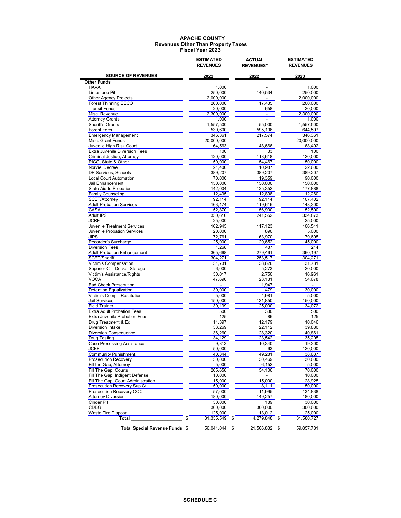|                                                                      |    | <b>ESTIMATED</b><br><b>REVENUES</b> | <b>ACTUAL</b><br><b>REVENUES*</b> | <b>ESTIMATED</b><br><b>REVENUES</b> |  |
|----------------------------------------------------------------------|----|-------------------------------------|-----------------------------------|-------------------------------------|--|
| <b>SOURCE OF REVENUES</b>                                            |    | 2022                                | 2022                              | 2023                                |  |
| <b>Other Funds</b>                                                   |    |                                     |                                   |                                     |  |
| <b>HAVA</b><br>Limestone Pit                                         |    | 1,000<br>250,000                    | 140,534                           | 1,000<br>250.000                    |  |
| Other Agency Projects                                                |    | 2,000,000                           |                                   | 2,000,000                           |  |
| <b>Forest Thinning EECO</b>                                          |    | 200.000                             | 17,435                            | 200,000                             |  |
| <b>Transit Funds</b>                                                 |    | 20,000                              | 658                               | 20,000                              |  |
| Misc. Revenue                                                        |    | 2,300,000                           | $\sim$                            | 2,300,000                           |  |
| <b>Attorney Grants</b>                                               |    | 1,000                               | $\overline{a}$                    | 1,000                               |  |
| Sheriff's Grants                                                     |    | 1,557,500                           | 55,000                            | 1,557,500                           |  |
| <b>Forest Fees</b>                                                   |    | 530,600                             | 595,196                           | 644,597                             |  |
| <b>Emergency Management</b><br>Misc. Grant Funds                     |    | 346,361                             | 217,574                           | 346,361                             |  |
| Juvenile High Risk Court                                             |    | 20,000,000<br>64.563                | 48,666                            | 20,000,000<br>68,492                |  |
| <b>Extra Juvenile Diversion Fees</b>                                 |    | 100                                 | 33                                | 100                                 |  |
| Criminal Justice, Attorney                                           |    | 120,000                             | 118,618                           | 120,000                             |  |
| RICO, State & Other                                                  |    | 50,000                              | 54,467                            | 50,000                              |  |
| Norviel Decree                                                       |    | 21,400                              | 10,987                            | 22,600                              |  |
| DP Services, Schools                                                 |    | 389,207                             | 389,207                           | 389,207                             |  |
| <b>Local Court Automation</b>                                        |    | 70,000                              | 19,359                            | 90,000                              |  |
| Jail Enhancement                                                     |    | 150.000                             | 150,000                           | 150,000                             |  |
| State Aid to Probation                                               |    | 142,004                             | 125,352                           | 177,888                             |  |
| <b>Family Counseling</b><br>SCET/Attorney                            |    | 12,495                              | 12,898                            | 12,260                              |  |
| <b>Adult Probation Services</b>                                      |    | 92,114<br>163,174                   | 92,114<br>119,616                 | 107,402<br>148,300                  |  |
| CASA                                                                 |    | 52,870                              | 56,900                            | 52,500                              |  |
| <b>Adult IPS</b>                                                     |    | 330,616                             | 241,552                           | 334,873                             |  |
| <b>JCRF</b>                                                          |    | 25,000                              | $\overline{\phantom{a}}$          | 25,000                              |  |
| Juvenile Treatment Services                                          |    | 102,945                             | 117,123                           | 106,511                             |  |
| Juvenile Probation Services                                          |    | 20,000                              | 890                               | 5,000                               |  |
| <b>JIPS</b>                                                          |    | 72.761                              | 63,970                            | 79,695                              |  |
| Recorder's Surcharge                                                 |    | 25,000                              | 29,652                            | 45,000                              |  |
| <b>Diversion Fees</b><br><b>Adult Probation Enhancement</b>          |    | 1,268                               | 487                               | 214                                 |  |
| SCET/Sheriff                                                         |    | 365,668<br>304,271                  | 279,461<br>253,517                | 360,197<br>304,271                  |  |
| Victim's Compensation                                                |    | 31,731                              | 38,626                            | 31,731                              |  |
| Superior CT. Docket Storage                                          |    | 6,000                               | 5,273                             | 20,000                              |  |
| Victim's Assistance/Rights                                           |    | 30,017                              | 2,750                             | 16,961                              |  |
| <b>VOCA</b>                                                          |    | 47,690                              | 23,131                            | 54.678                              |  |
| <b>Bad Check Prosecution</b>                                         |    | $\sim 100$ km s $^{-1}$             | 1,947                             | $\sim 100$ m $^{-1}$                |  |
| Detention Equalization                                               |    | 30,000                              | 479                               | 30,000                              |  |
| Victim's Comp - Restitution                                          |    | 5,000                               | 4,981                             | 5,000                               |  |
| <b>Jail Services</b>                                                 |    | 150,000                             | 131,850                           | 150,000                             |  |
| <b>Field Trainer</b><br><b>Extra Adult Probation Fees</b>            |    | 30,199                              | 25,000<br>330                     | 34,072<br>500                       |  |
| Extra Juvenile Probation Fees                                        |    | 500<br>125                          | 86                                | 125                                 |  |
| Drug Treatment & Ed                                                  |    | 11,397                              | 12,179                            | 10,046                              |  |
| Diversion Intake                                                     |    | 33,269                              | 22,112                            | 39,880                              |  |
| <b>Diversion Consequence</b>                                         |    | 36,260                              | 28,320                            | 40,861                              |  |
| <b>Drug Testing</b>                                                  |    | 34,129                              | 23,542                            | 35,205                              |  |
| <b>Case Processing Assistance</b>                                    |    | 9,313                               | 10,340                            | 19,300                              |  |
| JCEF                                                                 |    | 50,000                              | 63                                | 120,000                             |  |
| <b>Community Punishment</b>                                          |    | 40,344                              | 49,281                            | 38,637                              |  |
| <b>Prosecution Recovery</b>                                          |    | 30,000                              | 30,469                            | 30,000                              |  |
| Fill the Gap, Attorney                                               |    | 5,000                               | 6,152                             | 5,000                               |  |
| Fill The Gap, Courts                                                 |    | 205,658                             | 54,106                            | 70,000                              |  |
| Fill The Gap, Indigent Defense<br>Fill The Gap, Court Administration |    | 10,000<br>15,000                    | 15,000                            | 10,000<br>28,925                    |  |
| Prosecution Recovery Sup Ct.                                         |    | 50,000                              | 8,111                             | 50,000                              |  |
| Prosecution Recovery COC                                             |    | 57,000                              | 11,995                            | 134,838                             |  |
| <b>Attorney Diversion</b>                                            |    | 180,000                             | 149,257                           | 180,000                             |  |
| Cinder Pit                                                           |    | 30,000                              | 189                               | 30,000                              |  |
| CDBG                                                                 |    | 300,000                             | 300,000                           | 300,000                             |  |
| Waste Tire Disposal                                                  |    | 125,000                             | 113,012                           | 125,000                             |  |
| Total                                                                | \$ |                                     | \$<br>4,279,848                   | \$<br>31,580,727                    |  |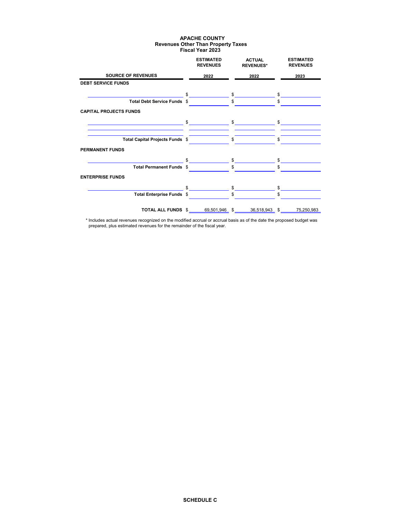|                                                                                                                                                | <b>ESTIMATED</b><br><b>REVENUES</b>                                                                                                                                                                                                                                                                                 | <b>ACTUAL</b><br><b>REVENUES*</b>                                                                                                                                                                                                                                                                                                                                                                                                                               | <b>ESTIMATED</b><br><b>REVENUES</b> |
|------------------------------------------------------------------------------------------------------------------------------------------------|---------------------------------------------------------------------------------------------------------------------------------------------------------------------------------------------------------------------------------------------------------------------------------------------------------------------|-----------------------------------------------------------------------------------------------------------------------------------------------------------------------------------------------------------------------------------------------------------------------------------------------------------------------------------------------------------------------------------------------------------------------------------------------------------------|-------------------------------------|
| <b>SOURCE OF REVENUES</b>                                                                                                                      | 2022                                                                                                                                                                                                                                                                                                                | 2022                                                                                                                                                                                                                                                                                                                                                                                                                                                            | 2023                                |
| <b>DEBT SERVICE FUNDS</b>                                                                                                                      |                                                                                                                                                                                                                                                                                                                     |                                                                                                                                                                                                                                                                                                                                                                                                                                                                 |                                     |
|                                                                                                                                                | \$                                                                                                                                                                                                                                                                                                                  | $\mathbb{S}$                                                                                                                                                                                                                                                                                                                                                                                                                                                    | $\mathbb{S}$                        |
| Total Debt Service Funds \$                                                                                                                    |                                                                                                                                                                                                                                                                                                                     | $\mathbb{S}$                                                                                                                                                                                                                                                                                                                                                                                                                                                    | $\mathbb{S}$                        |
| <b>CAPITAL PROJECTS FUNDS</b>                                                                                                                  |                                                                                                                                                                                                                                                                                                                     |                                                                                                                                                                                                                                                                                                                                                                                                                                                                 |                                     |
| <u> 1989 - Johann Barn, mars et al. (b. 1989)</u><br>the control of the control of the control of the control of the control of the control of |                                                                                                                                                                                                                                                                                                                     | $\begin{array}{ccc}\n\text{\$} & \text{\$} & \text{\$} & \text{\$} & \text{\$} & \text{\$} & \text{\$} & \text{\$} & \text{\$} & \text{\$} & \text{\$} & \text{\$} & \text{\$} & \text{\$} & \text{\$} & \text{\$} & \text{\$} & \text{\$} & \text{\$} & \text{\$} & \text{\$} & \text{\$} & \text{\$} & \text{\$} & \text{\$} & \text{\$} & \text{\$} & \text{\$} & \text{\$} & \text{\$} & \text{\$} & \text{\$} & \text{\$} & \text{\$} & \text{\$} & \text$ |                                     |
| Total Capital Projects Funds \$                                                                                                                |                                                                                                                                                                                                                                                                                                                     | $\mathsf{\$}$                                                                                                                                                                                                                                                                                                                                                                                                                                                   | \$                                  |
| <b>PERMANENT FUNDS</b>                                                                                                                         |                                                                                                                                                                                                                                                                                                                     |                                                                                                                                                                                                                                                                                                                                                                                                                                                                 |                                     |
|                                                                                                                                                | $\frac{1}{2}$ $\frac{1}{2}$ $\frac{1}{2}$ $\frac{1}{2}$ $\frac{1}{2}$ $\frac{1}{2}$ $\frac{1}{2}$ $\frac{1}{2}$ $\frac{1}{2}$ $\frac{1}{2}$ $\frac{1}{2}$ $\frac{1}{2}$ $\frac{1}{2}$ $\frac{1}{2}$ $\frac{1}{2}$ $\frac{1}{2}$ $\frac{1}{2}$ $\frac{1}{2}$ $\frac{1}{2}$ $\frac{1}{2}$ $\frac{1}{2}$ $\frac{1}{2}$ |                                                                                                                                                                                                                                                                                                                                                                                                                                                                 | \$                                  |
| Total Permanent Funds \$                                                                                                                       |                                                                                                                                                                                                                                                                                                                     | $\mathbb{S}$                                                                                                                                                                                                                                                                                                                                                                                                                                                    | \$                                  |
| <b>ENTERPRISE FUNDS</b>                                                                                                                        |                                                                                                                                                                                                                                                                                                                     |                                                                                                                                                                                                                                                                                                                                                                                                                                                                 |                                     |
|                                                                                                                                                | $\mathbf{\$}$                                                                                                                                                                                                                                                                                                       | $\mathbb{S}$                                                                                                                                                                                                                                                                                                                                                                                                                                                    | $\mathbf{s}$                        |
| Total Enterprise Funds \$                                                                                                                      |                                                                                                                                                                                                                                                                                                                     | \$                                                                                                                                                                                                                                                                                                                                                                                                                                                              | \$                                  |
|                                                                                                                                                | <b>TOTAL ALL FUNDS \$</b> 69,501,946 \$                                                                                                                                                                                                                                                                             | 36,518,943 \$                                                                                                                                                                                                                                                                                                                                                                                                                                                   | 75,250,983                          |

 \* Includes actual revenues recognized on the modified accrual or accrual basis as of the date the proposed budget was prepared, plus estimated revenues for the remainder of the fiscal year.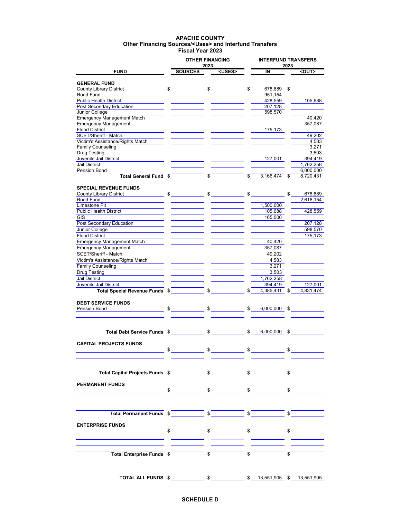## **APACHE COUNTY Fiscal Year 2023 Other Financing Sources/<Uses> and Interfund Transfers**

|                                                                                                                                                                                                                                                                                                                                                     |                | <b>OTHER FINANCING</b> |     | <b>INTERFUND TRANSFERS</b> |                                                   |                        |
|-----------------------------------------------------------------------------------------------------------------------------------------------------------------------------------------------------------------------------------------------------------------------------------------------------------------------------------------------------|----------------|------------------------|-----|----------------------------|---------------------------------------------------|------------------------|
| <b>FUND</b>                                                                                                                                                                                                                                                                                                                                         | <b>SOURCES</b> | 2023<br><uses></uses>  |     | $\overline{\mathsf{I}}$    | 2023                                              | $\leq$ UU              |
|                                                                                                                                                                                                                                                                                                                                                     |                |                        |     |                            |                                                   |                        |
| <b>GENERAL FUND</b><br><b>County Library District</b>                                                                                                                                                                                                                                                                                               | \$             | $\frac{1}{\sqrt{2}}$   | \$  | 678,889                    | \$                                                |                        |
| Road Fund                                                                                                                                                                                                                                                                                                                                           |                |                        |     | 951.154                    |                                                   |                        |
| <b>Public Health District</b>                                                                                                                                                                                                                                                                                                                       |                |                        |     | 428,559                    |                                                   | 105,688                |
| Post Secondary Education                                                                                                                                                                                                                                                                                                                            |                |                        |     | 207,128                    |                                                   |                        |
| Junior College                                                                                                                                                                                                                                                                                                                                      |                |                        |     | 598,570                    |                                                   |                        |
| <b>Emergency Management Match</b>                                                                                                                                                                                                                                                                                                                   |                |                        |     |                            |                                                   | 40,420                 |
| <b>Emergency Management</b>                                                                                                                                                                                                                                                                                                                         |                |                        |     |                            |                                                   | 357,087                |
| <b>Flood District</b>                                                                                                                                                                                                                                                                                                                               |                |                        |     | 175,173                    |                                                   |                        |
| SCET/Sheriff - Match                                                                                                                                                                                                                                                                                                                                |                |                        |     |                            |                                                   | 49,202                 |
| Victim's Assistance/Rights Match                                                                                                                                                                                                                                                                                                                    |                |                        |     |                            |                                                   | 4,583                  |
| <b>Family Counseling</b>                                                                                                                                                                                                                                                                                                                            |                |                        |     |                            |                                                   | 3,271                  |
| <b>Drug Testing</b>                                                                                                                                                                                                                                                                                                                                 |                |                        |     |                            |                                                   | 3,503                  |
| Juvenile Jail District<br><b>Jail District</b>                                                                                                                                                                                                                                                                                                      |                |                        |     | 127,001                    |                                                   | 394,419                |
| Pension Bond                                                                                                                                                                                                                                                                                                                                        |                |                        |     |                            |                                                   | 1,762,258<br>6,000,000 |
| Total General Fund \$                                                                                                                                                                                                                                                                                                                               |                | \$                     | \$. | 3,166,474                  | \$                                                | 8,720,431              |
|                                                                                                                                                                                                                                                                                                                                                     |                |                        |     |                            |                                                   |                        |
| <b>SPECIAL REVENUE FUNDS</b>                                                                                                                                                                                                                                                                                                                        |                |                        |     |                            |                                                   |                        |
| <b>County Library District</b>                                                                                                                                                                                                                                                                                                                      | \$             | \$                     | \$  |                            | \$                                                | 678,889                |
| Road Fund                                                                                                                                                                                                                                                                                                                                           |                |                        |     |                            |                                                   | 2,616,154              |
| Limestone Pit                                                                                                                                                                                                                                                                                                                                       |                |                        |     | 1,500,000                  |                                                   |                        |
| <b>Public Health District</b>                                                                                                                                                                                                                                                                                                                       |                |                        |     | 105,688                    |                                                   | 428,559                |
| GIS                                                                                                                                                                                                                                                                                                                                                 |                |                        |     | 165,000                    |                                                   |                        |
| Post Secondary Education                                                                                                                                                                                                                                                                                                                            |                |                        |     |                            |                                                   | 207,128                |
| Junior College                                                                                                                                                                                                                                                                                                                                      |                |                        |     |                            |                                                   | 598,570                |
| <b>Flood District</b>                                                                                                                                                                                                                                                                                                                               |                |                        |     |                            |                                                   | 175,173                |
| <b>Emergency Management Match</b>                                                                                                                                                                                                                                                                                                                   |                |                        |     | 40,420                     |                                                   |                        |
| <b>Emergency Management</b>                                                                                                                                                                                                                                                                                                                         |                |                        |     | 357,087                    |                                                   |                        |
| SCET/Sheriff - Match                                                                                                                                                                                                                                                                                                                                |                |                        |     | 49,202                     |                                                   |                        |
| Victim's Assistance/Rights Match                                                                                                                                                                                                                                                                                                                    |                |                        |     | 4,583                      |                                                   |                        |
| <b>Family Counseling</b>                                                                                                                                                                                                                                                                                                                            |                |                        |     | 3,271                      |                                                   |                        |
| <b>Drug Testing</b>                                                                                                                                                                                                                                                                                                                                 |                |                        |     | 3,503                      |                                                   |                        |
| <b>Jail District</b>                                                                                                                                                                                                                                                                                                                                |                |                        |     | 1,762,258                  |                                                   |                        |
| Juvenile Jail District                                                                                                                                                                                                                                                                                                                              |                |                        |     | 394,419                    |                                                   | 127,001                |
| Total Special Revenue Funds \$                                                                                                                                                                                                                                                                                                                      |                | \$                     |     | 4,385,431                  | \$                                                | 4,831,474              |
|                                                                                                                                                                                                                                                                                                                                                     |                |                        |     |                            |                                                   |                        |
| <b>DEBT SERVICE FUNDS</b><br>Pension Bond                                                                                                                                                                                                                                                                                                           | \$             | \$                     | \$  | 6,000,000 \$               |                                                   |                        |
|                                                                                                                                                                                                                                                                                                                                                     |                |                        |     |                            |                                                   |                        |
|                                                                                                                                                                                                                                                                                                                                                     |                |                        |     |                            |                                                   |                        |
|                                                                                                                                                                                                                                                                                                                                                     |                |                        |     |                            |                                                   |                        |
| <b>Total Debt Service Funds \$</b>                                                                                                                                                                                                                                                                                                                  |                | $\sqrt{S}$             |     | 6,000,000 \$               |                                                   |                        |
|                                                                                                                                                                                                                                                                                                                                                     |                |                        |     |                            |                                                   |                        |
| <b>CAPITAL PROJECTS FUNDS</b>                                                                                                                                                                                                                                                                                                                       |                |                        |     |                            |                                                   |                        |
|                                                                                                                                                                                                                                                                                                                                                     |                |                        |     |                            |                                                   |                        |
|                                                                                                                                                                                                                                                                                                                                                     |                |                        |     |                            |                                                   |                        |
|                                                                                                                                                                                                                                                                                                                                                     |                |                        |     |                            |                                                   |                        |
|                                                                                                                                                                                                                                                                                                                                                     |                |                        |     |                            | $\sqrt{s}$                                        |                        |
|                                                                                                                                                                                                                                                                                                                                                     |                |                        |     |                            |                                                   |                        |
| <b>PERMANENT FUNDS</b>                                                                                                                                                                                                                                                                                                                              |                |                        |     |                            |                                                   |                        |
|                                                                                                                                                                                                                                                                                                                                                     |                |                        |     |                            |                                                   |                        |
|                                                                                                                                                                                                                                                                                                                                                     |                |                        |     |                            |                                                   |                        |
|                                                                                                                                                                                                                                                                                                                                                     |                |                        |     |                            |                                                   |                        |
| Total Permanent Funds $\sqrt{s}$ $\sqrt{s}$ $\sqrt{s}$ $\sqrt{s}$ $\sqrt{s}$ $\sqrt{s}$ $\sqrt{s}$ $\sqrt{s}$ $\sqrt{s}$ $\sqrt{s}$ $\sqrt{s}$ $\sqrt{s}$ $\sqrt{s}$ $\sqrt{s}$ $\sqrt{s}$ $\sqrt{s}$ $\sqrt{s}$ $\sqrt{s}$ $\sqrt{s}$ $\sqrt{s}$ $\sqrt{s}$ $\sqrt{s}$ $\sqrt{s}$ $\sqrt{s}$ $\sqrt{s}$ $\sqrt{s}$ $\sqrt{s}$ $\sqrt{s}$ $\sqrt{s$ |                |                        |     |                            |                                                   |                        |
|                                                                                                                                                                                                                                                                                                                                                     |                |                        |     |                            | $\overline{\phantom{a}}$ $\overline{\phantom{a}}$ |                        |
| <b>ENTERPRISE FUNDS</b>                                                                                                                                                                                                                                                                                                                             |                |                        |     |                            |                                                   |                        |
|                                                                                                                                                                                                                                                                                                                                                     |                |                        |     |                            |                                                   |                        |
|                                                                                                                                                                                                                                                                                                                                                     |                |                        |     |                            |                                                   |                        |
|                                                                                                                                                                                                                                                                                                                                                     |                |                        |     |                            |                                                   |                        |
|                                                                                                                                                                                                                                                                                                                                                     |                |                        |     |                            |                                                   |                        |
| Total Enterprise Funds $\int$                                                                                                                                                                                                                                                                                                                       |                |                        |     |                            | $\sqrt[3]{5}$                                     |                        |
|                                                                                                                                                                                                                                                                                                                                                     |                |                        |     |                            |                                                   |                        |
|                                                                                                                                                                                                                                                                                                                                                     |                |                        |     |                            |                                                   |                        |
|                                                                                                                                                                                                                                                                                                                                                     |                |                        |     |                            |                                                   |                        |
|                                                                                                                                                                                                                                                                                                                                                     |                |                        |     |                            |                                                   |                        |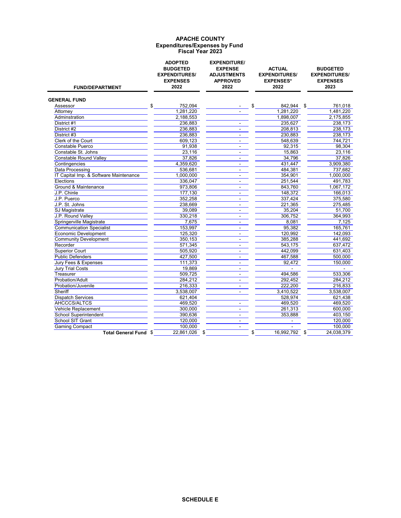# **APACHE COUNTY Fiscal Year 2023 Expenditures/Expenses by Fund**

| <b>FUND/DEPARTMENT</b>                 | <b>ADOPTED</b><br><b>BUDGETED</b><br><b>EXPENDITURES/</b><br><b>EXPENSES</b><br>2022 | <b>EXPENDITURE/</b><br><b>EXPENSE</b><br><b>ADJUSTMENTS</b><br><b>APPROVED</b><br>2022 | <b>ACTUAL</b><br><b>EXPENDITURES/</b><br><b>EXPENSES*</b><br>2022 | <b>BUDGETED</b><br><b>EXPENDITURES/</b><br><b>EXPENSES</b><br>2023 |
|----------------------------------------|--------------------------------------------------------------------------------------|----------------------------------------------------------------------------------------|-------------------------------------------------------------------|--------------------------------------------------------------------|
| <b>GENERAL FUND</b>                    |                                                                                      |                                                                                        |                                                                   |                                                                    |
| Assessor                               | \$<br>752,094                                                                        |                                                                                        | \$<br>842,944<br>\$                                               | 761,018                                                            |
| Attorney                               | 1,281,220                                                                            |                                                                                        | 1,281,220                                                         | 1,481,220                                                          |
| Adminstration                          | 2,188,553                                                                            |                                                                                        | 1,898,007                                                         | 2,175,855                                                          |
| District #1                            | 236,883                                                                              |                                                                                        | 235,627                                                           | 238,173                                                            |
| District #2                            | 236,883                                                                              |                                                                                        | 208,813                                                           | 238,173                                                            |
| District #3                            | 236,883                                                                              | $\blacksquare$                                                                         | 230,883                                                           | 238,173                                                            |
| Clerk of the Court                     | 609,123                                                                              | $\blacksquare$                                                                         | 548,639                                                           | 744.721                                                            |
| <b>Constable Puerco</b>                | 91,938                                                                               | $\blacksquare$                                                                         | 92,315                                                            | 98,304                                                             |
| Constable St. Johns                    | 23,116                                                                               | $\overline{a}$                                                                         | 15,863                                                            | 23.116                                                             |
| <b>Constable Round Valley</b>          | 37,826                                                                               | $\blacksquare$                                                                         | 34.796                                                            | 37.826                                                             |
| Contingencies                          | 4,359,620                                                                            | $\blacksquare$                                                                         | 431,447                                                           | 3,909,380                                                          |
| <b>Data Processing</b>                 | 536,681                                                                              | $\sim$                                                                                 | 484,381                                                           | 737,682                                                            |
| IT Capital Imp. & Software Maintenance | 1,000,000                                                                            | $\blacksquare$                                                                         | 354,901                                                           | 1,000,000                                                          |
| Elections                              | 336,047                                                                              |                                                                                        | 251,544                                                           | 491,783                                                            |
| Ground & Maintenance                   | 973,806                                                                              | $\mathbf{r}$                                                                           | 843,760                                                           | 1,067,172                                                          |
| J.P. Chinle                            | 177,130                                                                              | $\sim$                                                                                 | 148,372                                                           | 166,013                                                            |
| J.P. Puerco                            | 352,258                                                                              | $\blacksquare$                                                                         | 337,424                                                           | 375,580                                                            |
| J.P. St. Johns                         | 238,669                                                                              | $\mathbf{r}$                                                                           | 221,365                                                           | 275,485                                                            |
| SJ Magistrate                          | 39,089                                                                               | $\blacksquare$                                                                         | 35,204                                                            | 51,700                                                             |
| J.P. Round Valley                      | 330,218                                                                              | $\blacksquare$                                                                         | 306,752                                                           | 364,993                                                            |
| Springerville Magistrate               | 7,675                                                                                | $\blacksquare$                                                                         | 8.081                                                             | 7,125                                                              |
| <b>Communication Specialist</b>        | 153,997                                                                              | $\mathbf{r}$                                                                           | 95,382                                                            | 165,761                                                            |
| <b>Economic Development</b>            | 125,320                                                                              | $\blacksquare$                                                                         | 120,992                                                           | 142.093                                                            |
| <b>Community Development</b>           | 350,153                                                                              | $\mathbf{r}$                                                                           | 385,288                                                           | 441,692                                                            |
| Recorder                               | 571,345                                                                              | $\mathbf{r}$                                                                           | 543,175                                                           | 637,472                                                            |
| <b>Superior Court</b>                  | 505,920                                                                              | $\blacksquare$                                                                         | 442,099                                                           | 631,403                                                            |
| <b>Public Defenders</b>                | 427,500                                                                              | $\blacksquare$                                                                         | 467,588                                                           | 500,000                                                            |
| Jury Fees & Expenses                   | 111,373                                                                              |                                                                                        | 92,472                                                            | 150,000                                                            |
| <b>Jury Trial Costs</b>                | 19,869                                                                               | $\mathbf{r}$                                                                           |                                                                   |                                                                    |
| Treasurer                              | 509,725                                                                              |                                                                                        | 494,586                                                           | 533,306                                                            |
| Probation/Adult                        | 284,212                                                                              | ÷.                                                                                     | 292,452                                                           | 284,212                                                            |
| Probation/Juvenile                     | 216,333                                                                              | $\blacksquare$                                                                         | 222,200                                                           | 216,833                                                            |
| Sheriff                                | 3,538,007                                                                            | $\mathbf{r}$                                                                           | 3,410,522                                                         | 3,538,007                                                          |
| <b>Dispatch Services</b>               | 621,404                                                                              |                                                                                        | 528,974                                                           | 621,438                                                            |
| AHCCCS/ALTCS                           | 469,520                                                                              |                                                                                        | 469,520                                                           | 469,520                                                            |
| Vehicle Replacement                    | 300,000                                                                              | $\overline{\phantom{a}}$                                                               | 261,313                                                           | 600,000                                                            |
| <b>School Superintendent</b>           | 390,636                                                                              | $\blacksquare$                                                                         | 353,888                                                           | 403,150                                                            |
| <b>School SIT Grant</b>                | 120,000                                                                              |                                                                                        | $\blacksquare$                                                    | 120,000                                                            |
| <b>Gaming Compact</b>                  | 100,000                                                                              | $\blacksquare$                                                                         |                                                                   | 100,000                                                            |
| <b>Total General Fund \$</b>           | 22,861,026 \$                                                                        |                                                                                        | 16,992,792 \$<br>\$                                               | 24,038,379                                                         |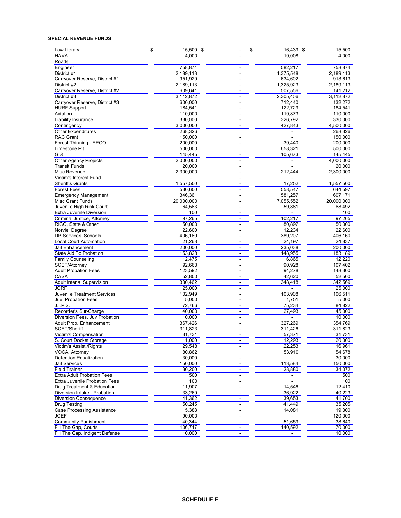## **SPECIAL REVENUE FUNDS**

| Law Library<br><b>HAVA</b>            | \$<br>15,500 \$<br>4,000 |                                | \$<br>16,439 \$<br>19,008 | 15,500<br>4,000 |
|---------------------------------------|--------------------------|--------------------------------|---------------------------|-----------------|
| Roads                                 |                          |                                |                           |                 |
| Engineer                              | 758,874                  | $\overline{a}$                 | 582.217                   |                 |
|                                       |                          | ä,                             |                           | 758,874         |
| District #1                           | 2,189,113                |                                | 1,375,548                 | 2,189,113       |
| Carryover Reserve, District #1        | 951,929                  | $\blacksquare$                 | 634,602                   | 913,613         |
| District #2                           | 2,189,113                | $\overline{\phantom{a}}$       | 1,325,923                 | 2,189,113       |
| Carryover Reserve, District #2        | 609,641                  | $\blacksquare$                 | 507,556                   | 141,212         |
| District #3                           | 3,112,872                | $\overline{a}$                 | 2,305,406                 | 3,112,872       |
| Carryover Reserve, District #3        | 600,000                  | $\blacksquare$                 | 712,440                   | 132,272         |
| <b>HURF Support</b>                   | 184,541                  | $\overline{a}$                 | 122,729                   | 184,541         |
| Aviation                              | 110,000                  | $\sim$                         | 119,873                   | 110,000         |
| Liability Insurance                   | 330,000                  | $\blacksquare$                 | 326,792                   | 330,000         |
| Contingency                           | 3,000,000                | $\overline{\phantom{a}}$       | 427,843                   | 4,500,000       |
| <b>Other Expenditures</b>             | 268,326                  |                                |                           | 268,326         |
| <b>RAC Grant</b>                      | 150,000                  | $\blacksquare$                 | $\blacksquare$            | 150,000         |
| Forest Thinning - EECO                | 200,000                  | $\blacksquare$                 | 39,440                    | 200,000         |
| <b>Limestone Pit</b>                  | 500,000                  |                                | 658,321                   | 500,000         |
| <b>GIS</b>                            | 145,445                  | $\overline{\phantom{a}}$       | 105,673                   | 145,445         |
| Other Agency Projects                 | 2,000,000                | $\blacksquare$                 | ÷.                        | 4,000,000       |
| <b>Transit Funds</b>                  | 20,000                   | $\blacksquare$                 |                           | 20,000          |
| Misc Revenue                          | 2,300,000                | $\overline{a}$                 | 212,444                   | 2,300,000       |
|                                       |                          |                                |                           |                 |
| Victim's Interest Fund                |                          | $\frac{1}{2}$                  |                           |                 |
| Sheriff's Grants                      | 1,557,500                | $\blacksquare$                 | 17,252                    | 1,557,500       |
| <b>Forest Fees</b>                    | 530,600                  | $\blacksquare$                 | 558,547                   | 644,597         |
| <b>Emergency Management</b>           | 346,361                  | $\blacksquare$                 | 581,257                   | 607,171         |
| <b>Misc Grant Funds</b>               | 20,000,000               |                                | 7,055,552                 | 20,000,000      |
| Juvenile High Risk Court              | 64,563                   | $\overline{a}$                 | 59,881                    | 68,492          |
| Extra Juvenile Diversion              | 100                      | $\blacksquare$                 |                           | 100             |
| Criminal Justice, Attorney            | 97,265                   | L.                             | 102,217                   | 97,265          |
| RICO, State & Other                   | 50,000                   | $\blacksquare$                 | 80,897                    | 50,000          |
| <b>Norviel Degree</b>                 | 22,600                   | $\overline{a}$                 | 12,234                    | 22,600          |
| DP Services, Schools                  | 406,160                  | $\overline{a}$                 | 389,207                   | 406,160         |
| <b>Local Court Automation</b>         | 21,268                   | $\frac{1}{2}$                  | 24,197                    | 24,837          |
| Jail Enhancement                      | 200,000                  | $\blacksquare$                 | 235,038                   | 200,000         |
| State Aid To Probation                | 153,828                  | $\blacksquare$                 | 148,955                   | 183,189         |
| <b>Family Counseling</b>              | 12,475                   | $\blacksquare$                 | 6,865                     | 12,220          |
| SCET/Attorney                         | 92,663                   | $\blacksquare$                 | 90,928                    | 107,402         |
| <b>Adult Probation Fees</b>           | 123,592                  |                                | 94,278                    | 148,300         |
| CASA                                  | 52,800                   | $\overline{\phantom{a}}$       |                           | 52,500          |
|                                       |                          | $\overline{\phantom{a}}$<br>ä. | 42,620                    |                 |
| Adult Intens. Supervision             | 330,462                  |                                | 348,418                   | 342,569         |
| <b>JCRF</b>                           | 25,000                   | $\blacksquare$                 | $\blacksquare$            | 25,000          |
| Juvenile Treatment Services           | 102,949                  | $\blacksquare$                 | 103,908                   | 106,511         |
| Juv. Probation Fees                   | 5,000                    | $\overline{\phantom{a}}$       | 1,751                     | 5,000           |
| J.I.P.S.                              | 72,766                   | $\blacksquare$                 | 75,234                    | 84,822          |
| Recorder's Sur-Charge                 | 40,000                   | $\blacksquare$                 | 27,493                    | 45,000          |
| Diversion Fees, Juv Probation         | 10,000                   | $\overline{a}$                 |                           | 10,000          |
| Adult Prob. Enhancement               | 367,426                  | $\blacksquare$                 | 327,269                   | 354,769         |
| SCET/Sheriff                          | 311,823                  | $\frac{1}{2}$                  | 311,426                   | 311,823         |
| <b>Victim's Compensation</b>          | 31,731                   | $\frac{1}{2}$                  | 57,371                    | 31,731          |
| S. Court Docket Storage               | 11,000                   |                                | 12,293                    | 20,000          |
| Victim's Assist./Rights               | 29,548                   |                                | 22,253                    | 16,961          |
| VOCA, Attorney                        | 80,862                   |                                | 53,910                    | 54,678          |
| Detention Equalization                | 30,000                   | $\blacksquare$                 |                           | 30,000          |
| <b>Jail Services</b>                  | 150.000                  | ä,                             | 113,584                   | 150,000         |
| <b>Field Trainer</b>                  | 30,200                   |                                | 28,880                    | 34,072          |
| <b>Extra Adult Probation Fees</b>     |                          |                                |                           |                 |
|                                       | 500                      | $\blacksquare$                 |                           | 500             |
| <b>Extra Juvenile Probation Fees</b>  | 100                      | $\blacksquare$                 | ä,                        | 100             |
| <b>Drug Treatment &amp; Education</b> | 11,907                   | $\overline{\phantom{a}}$       | 14,546                    | 12,410          |
| Diversion Intake - Probation          | 33,269                   | $\blacksquare$                 | 36,922                    | 40,223          |
| <b>Diversion Consequence</b>          | 41,362                   | $\blacksquare$                 | 39,653                    | 41,700          |
| <b>Drug Testing</b>                   | 50,245                   | $\blacksquare$                 | 41,449                    | 35,205          |
| <b>Case Processing Assistance</b>     | 5,388                    | $\overline{\phantom{a}}$       | 14,081                    | 19,300          |
| <b>JCEF</b>                           | 90,000                   | $\blacksquare$                 |                           | 120,000         |
| <b>Community Punishment</b>           | 40,344                   | $\blacksquare$                 | 51,659                    | 38,640          |
| Fill The Gap, Courts                  | 106,717                  | $\sim$                         | 140,592                   | 70,000          |
| Fill The Gap, Indigent Defense        | 10,000                   | $\blacksquare$                 |                           | 10,000          |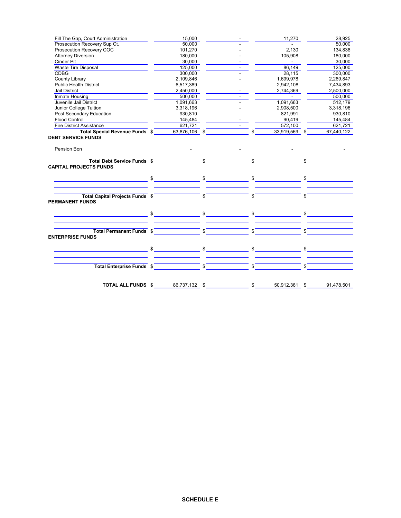| Fill The Gap, Court Administration                                                                                                                                                                                                 | 15,000    |          |                     |               | 11,270                   |         | 28,925                    |
|------------------------------------------------------------------------------------------------------------------------------------------------------------------------------------------------------------------------------------|-----------|----------|---------------------|---------------|--------------------------|---------|---------------------------|
| Prosecution Recovery Sup Ct.                                                                                                                                                                                                       | 50,000    |          |                     |               | <b>Contractor</b>        |         | 50,000                    |
| Prosecution Recovery COC                                                                                                                                                                                                           | 101,270   |          |                     |               | 2,130                    |         | 134,838                   |
| Attorney Diversion                                                                                                                                                                                                                 | 180,000   |          |                     | المستنب المنف | 105,908                  |         | 180,000                   |
| <b>Cinder Pit</b>                                                                                                                                                                                                                  | 30,000    |          |                     |               | ___ ==                   |         | 30,000                    |
| Waste Tire Disposal                                                                                                                                                                                                                | 125,000   |          |                     |               | 86,149                   |         | 125,000                   |
| <b>CDBG</b>                                                                                                                                                                                                                        | 300,000   |          | $\sim 100$          |               | 28,115                   |         | 300,000                   |
| County Library<br>Public Health District                                                                                                                                                                                           | 2,109,846 |          |                     |               | 1,699,978                |         | 2,269,847                 |
|                                                                                                                                                                                                                                    | 6,517,389 | $\equiv$ |                     |               | 2,942,108                |         | 7,434,893                 |
| Jail District<br>Inmate Housing<br>Juvenile Jail District                                                                                                                                                                          | 2,450,000 |          |                     |               | 2,744,369                |         | 2,500,000                 |
|                                                                                                                                                                                                                                    | 500,000   |          | $\sigma_{\rm{max}}$ |               | <b>Contract Contract</b> |         | 500,000                   |
|                                                                                                                                                                                                                                    | 1,091,663 |          |                     |               | 1,091,663                |         | 512,179                   |
|                                                                                                                                                                                                                                    | 3,318,196 |          |                     |               | 2,908,500                |         | 3,318,196                 |
| <u>Junior College Tuition<br/>Post Secondary Education</u>                                                                                                                                                                         | 930,810   |          |                     |               | 821,991                  |         |                           |
| <b>Flood Control</b>                                                                                                                                                                                                               | 145,484   |          |                     |               | $\frac{821,991}{90,419}$ |         | $\frac{930,010}{145,484}$ |
| <b>Fire District Assistance</b>                                                                                                                                                                                                    | 621,721   |          |                     |               | 572,100                  |         | 621,721                   |
| <b>Total Special Revenue Funds</b> $\sqrt[6]{\hspace{1cm}}$ 63,876,106 $\sqrt[6]{\hspace{1cm}}$ $\sqrt[6]{\hspace{1cm}}$                                                                                                           |           |          |                     |               | 33,919,569 \$            |         | 67,440,122                |
| Pension Bon <b>Property Control</b> (2008) and the control of the control of the control of the control of the control of the control of the control of the control of the control of the control of the control of the control of |           |          |                     |               |                          |         |                           |
| Total Debt Service Funds \$<br><b>CAPITAL PROJECTS FUNDS</b>                                                                                                                                                                       |           |          |                     |               |                          | $ \int$ |                           |
|                                                                                                                                                                                                                                    |           |          |                     |               |                          |         |                           |
| Total Capital Projects Funds \$<br><b>PERMANENT FUNDS</b>                                                                                                                                                                          |           |          |                     |               |                          |         |                           |
|                                                                                                                                                                                                                                    |           |          |                     |               |                          |         |                           |
| Total Permanent Funds \$<br><b>ENTERPRISE FUNDS</b>                                                                                                                                                                                |           |          |                     |               |                          |         |                           |
|                                                                                                                                                                                                                                    |           |          |                     |               |                          |         |                           |
| Total Enterprise Funds \$                                                                                                                                                                                                          |           |          |                     |               |                          |         | $\frac{1}{2}$             |
|                                                                                                                                                                                                                                    |           |          |                     |               |                          |         | 50,912,361 \$ 91,478,501  |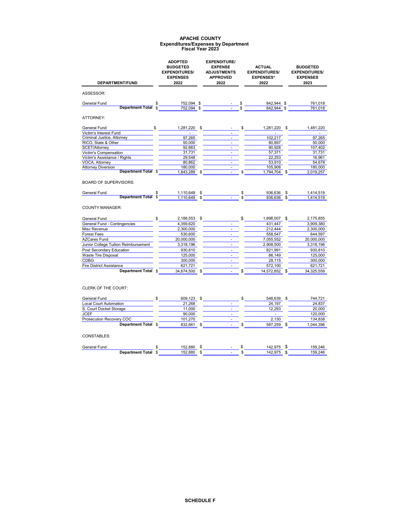#### **Expenditures/Expenses by Department APACHE COUNTY Fiscal Year 2023**

| DEPARTMENT/FUND                                                                                        | <b>ADOPTED</b><br><b>BUDGETED</b><br><b>EXPENDITURES/</b><br><b>EXPENSES</b><br>2022                                                                                                                                                                                                                                                                                                                                                                     | <b>EXPENDITURE/</b><br><b>EXPENSE</b><br><b>ADJUSTMENTS</b><br><b>APPROVED</b><br>2022 | <b>ACTUAL</b><br><b>EXPENDITURES/</b><br><b>EXPENSES*</b><br>2022 |                                |    | <b>BUDGETED</b><br><b>EXPENDITURES/</b><br><b>EXPENSES</b><br>2023 |  |
|--------------------------------------------------------------------------------------------------------|----------------------------------------------------------------------------------------------------------------------------------------------------------------------------------------------------------------------------------------------------------------------------------------------------------------------------------------------------------------------------------------------------------------------------------------------------------|----------------------------------------------------------------------------------------|-------------------------------------------------------------------|--------------------------------|----|--------------------------------------------------------------------|--|
|                                                                                                        |                                                                                                                                                                                                                                                                                                                                                                                                                                                          |                                                                                        |                                                                   |                                |    |                                                                    |  |
| ASSESSOR:                                                                                              |                                                                                                                                                                                                                                                                                                                                                                                                                                                          |                                                                                        |                                                                   |                                |    |                                                                    |  |
| General Fund                                                                                           |                                                                                                                                                                                                                                                                                                                                                                                                                                                          |                                                                                        |                                                                   |                                |    | 761,018                                                            |  |
|                                                                                                        | <b>Department Total <math>\frac{1}{3}</math></b> $\frac{752,094}{752,094}$ $\frac{3}{3}$ $\frac{3}{3}$ $\frac{842,944}{7842,944}$ $\frac{5}{3}$                                                                                                                                                                                                                                                                                                          |                                                                                        |                                                                   |                                |    | 761.018                                                            |  |
| ATTORNEY:                                                                                              |                                                                                                                                                                                                                                                                                                                                                                                                                                                          |                                                                                        |                                                                   |                                |    |                                                                    |  |
| $-$ \$<br>General Fund                                                                                 |                                                                                                                                                                                                                                                                                                                                                                                                                                                          | 1,281,220 \$                                                                           |                                                                   | $-$ \$<br>1,281,220 \$         |    | 1,481,220                                                          |  |
| Victim's Interest Fund                                                                                 | ÷.                                                                                                                                                                                                                                                                                                                                                                                                                                                       |                                                                                        |                                                                   | ÷.                             |    | $\mathbf{r}$                                                       |  |
| Criminal Justice, Attorney                                                                             | 97,265                                                                                                                                                                                                                                                                                                                                                                                                                                                   | $\overline{\phantom{a}}$                                                               |                                                                   | 102,217                        |    | 97,265                                                             |  |
| RICO, State & Other                                                                                    | 50,000                                                                                                                                                                                                                                                                                                                                                                                                                                                   | $\sim 100$                                                                             |                                                                   | 80,897                         |    | 50,000                                                             |  |
| SCET/Attorney                                                                                          | 92,663                                                                                                                                                                                                                                                                                                                                                                                                                                                   | $\blacksquare$<br>$\overline{a}$                                                       |                                                                   | 90,928                         |    | 107,402                                                            |  |
| Victim's Compensation<br>Victim's Assistance / Rights                                                  | 31.731<br>29.548                                                                                                                                                                                                                                                                                                                                                                                                                                         | $\blacksquare$                                                                         |                                                                   | 57,371<br>22.253               |    | 31,731<br>16.961                                                   |  |
| VOCA, Attorney                                                                                         | 80,862                                                                                                                                                                                                                                                                                                                                                                                                                                                   | $\mathbf{r}$                                                                           |                                                                   | 53,910                         |    | 54,678                                                             |  |
| <b>Attorney Diversion</b>                                                                              | 180,000                                                                                                                                                                                                                                                                                                                                                                                                                                                  | ÷,                                                                                     |                                                                   | 105,908                        |    | 180,000                                                            |  |
| <b>Department Total \$</b>                                                                             | 1,843,289 \$                                                                                                                                                                                                                                                                                                                                                                                                                                             |                                                                                        |                                                                   | 1,794,704 \$                   |    | 2,019,257                                                          |  |
| General Fund<br><b>COUNTY MANAGER:</b>                                                                 | $\begin{array}{ccccccccccccc}\n & & & & & & 1,110,649 & \text{\$} & & & & & \text{\$} & & & & \text{\$} & & & \text{\$} & & \text{\$} & & \text{\$} & \text{\$} & \text{\$} & \text{\$} & \text{\$} & \text{\$} & \text{\$} & \text{\$} & \text{\$} & \text{\$} & \text{\$} & \text{\$} & \text{\$} & \text{\$} & \text{\$} & \text{\$} & \text{\$} & \text{\$} & \text{\$} & \text{\$} & \text{\$} & \text{\$} & \text{\$} & \text{\$} & \text{\$} & \$ |                                                                                        |                                                                   | 936,636 \$<br>$936.636$ \$     |    | 1,414,519<br>1.414.519                                             |  |
| General Fund                                                                                           | $\frac{1}{2}$<br>2,188,553 \$                                                                                                                                                                                                                                                                                                                                                                                                                            |                                                                                        | $\frac{1}{2}$                                                     | 1,898,007 \$                   |    | 2,175,855                                                          |  |
| General Fund - Contingencies                                                                           | 4,359,620                                                                                                                                                                                                                                                                                                                                                                                                                                                | $\Box$                                                                                 |                                                                   | 431,447                        |    | 3,909,380                                                          |  |
| Misc Revenue                                                                                           | 2,300,000                                                                                                                                                                                                                                                                                                                                                                                                                                                | $\sim$                                                                                 |                                                                   | 212.444                        |    | 2,300,000                                                          |  |
| <b>Forest Fees</b>                                                                                     | 530,600                                                                                                                                                                                                                                                                                                                                                                                                                                                  | $\blacksquare$                                                                         |                                                                   | 558,547                        |    | 644,597                                                            |  |
| <b>AZCares Fund</b>                                                                                    | 20,000,000                                                                                                                                                                                                                                                                                                                                                                                                                                               | $\omega$                                                                               |                                                                   | 7,055,552                      |    | 20,000,000                                                         |  |
| Junior College Tuition Reimbursement                                                                   | 3,318,196                                                                                                                                                                                                                                                                                                                                                                                                                                                | $\Box$                                                                                 |                                                                   | 2,908,500                      |    | 3,318,196                                                          |  |
| Post Secondary Education                                                                               | 930,810                                                                                                                                                                                                                                                                                                                                                                                                                                                  | ٠                                                                                      |                                                                   | 821,991                        |    | 930,810                                                            |  |
| Waste Tire Disposal                                                                                    | 125,000                                                                                                                                                                                                                                                                                                                                                                                                                                                  | $\overline{a}$                                                                         |                                                                   | 86,149                         |    | 125,000                                                            |  |
| <b>CDBG</b>                                                                                            | 300,000                                                                                                                                                                                                                                                                                                                                                                                                                                                  | $\overline{a}$                                                                         |                                                                   | 28,115                         |    | 300,000                                                            |  |
| <b>Fire District Assistance</b>                                                                        | 621,721                                                                                                                                                                                                                                                                                                                                                                                                                                                  | ä,                                                                                     |                                                                   | 572,100                        |    | 621,721                                                            |  |
| Department Total \$                                                                                    | 34,674,500 \$                                                                                                                                                                                                                                                                                                                                                                                                                                            |                                                                                        |                                                                   | 14,572,852                     |    | 34,325,559                                                         |  |
| <b>CLERK OF THE COURT:</b><br>General Fund<br><b>Local Court Automation</b><br>S. Court Docket Storage | 609,123 \$<br>21.268<br>11,000                                                                                                                                                                                                                                                                                                                                                                                                                           | $\omega$                                                                               |                                                                   | 548,639 \$<br>24,197<br>12,293 |    | 744,721<br>24.837<br>20,000                                        |  |
| <b>JCEF</b>                                                                                            | 90,000                                                                                                                                                                                                                                                                                                                                                                                                                                                   | $\omega$                                                                               |                                                                   | $\sim$                         |    | 120,000                                                            |  |
| Prosecution Recovery COC                                                                               | 101,270                                                                                                                                                                                                                                                                                                                                                                                                                                                  | $\sim$                                                                                 |                                                                   | 2,130                          |    | 134,838                                                            |  |
| Department Total \$                                                                                    | 832,661                                                                                                                                                                                                                                                                                                                                                                                                                                                  | \$<br>$\overline{a}$                                                                   | \$                                                                | 587,259                        | \$ | 1,044,396                                                          |  |

## CONSTABLES:

| General<br>Fund         |               | .880<br>52 |  | $\sim$<br>142.5.               | 159.246 |
|-------------------------|---------------|------------|--|--------------------------------|---------|
| <b>Department Total</b> | $\rightarrow$ | 52.880     |  | $\sim$ $\sim$ $\sim$<br>142.5. | 159.246 |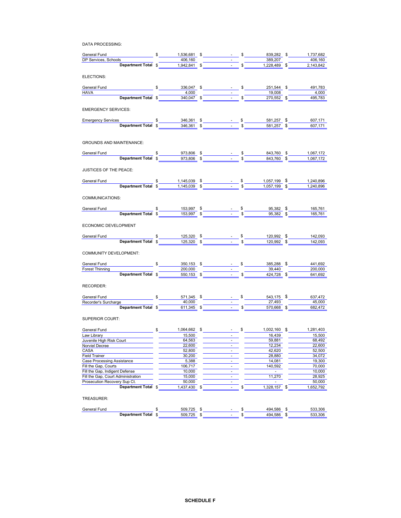DATA PROCESSING:

|                                                                                                                                                                                                                                                                                                                                                                   |                 |                                                                                                                                                                                                                                                                                                                                                                                                                                                   |                                                                                                                                                                                    | 406,160                |
|-------------------------------------------------------------------------------------------------------------------------------------------------------------------------------------------------------------------------------------------------------------------------------------------------------------------------------------------------------------------|-----------------|---------------------------------------------------------------------------------------------------------------------------------------------------------------------------------------------------------------------------------------------------------------------------------------------------------------------------------------------------------------------------------------------------------------------------------------------------|------------------------------------------------------------------------------------------------------------------------------------------------------------------------------------|------------------------|
| General Fund<br>DP Services, Schools<br><b>Department Total</b><br><b>S</b><br><b>Example 1,536,681<br/> <b>S</b><br/> <b>Example 1,942,841<br/> <b>S</b><br/> <b>Example 1,942,841<br/> <b>S</b><br/> <b>Example 1,942,841<br/> <b>S</b><br/> <b>Example 1,228,489<br/> S</b><br/> <b>Example 1,228,489</b><br/> <b>S</b><br/> <b>Example 1,</b></b></b></b></b> |                 |                                                                                                                                                                                                                                                                                                                                                                                                                                                   |                                                                                                                                                                                    |                        |
| ELECTIONS:                                                                                                                                                                                                                                                                                                                                                        |                 |                                                                                                                                                                                                                                                                                                                                                                                                                                                   |                                                                                                                                                                                    |                        |
| General Fund                                                                                                                                                                                                                                                                                                                                                      |                 |                                                                                                                                                                                                                                                                                                                                                                                                                                                   |                                                                                                                                                                                    |                        |
| <b>HAVA</b>                                                                                                                                                                                                                                                                                                                                                       |                 |                                                                                                                                                                                                                                                                                                                                                                                                                                                   |                                                                                                                                                                                    |                        |
|                                                                                                                                                                                                                                                                                                                                                                   |                 |                                                                                                                                                                                                                                                                                                                                                                                                                                                   |                                                                                                                                                                                    |                        |
|                                                                                                                                                                                                                                                                                                                                                                   |                 |                                                                                                                                                                                                                                                                                                                                                                                                                                                   |                                                                                                                                                                                    |                        |
| <b>EMERGENCY SERVICES:</b>                                                                                                                                                                                                                                                                                                                                        |                 |                                                                                                                                                                                                                                                                                                                                                                                                                                                   |                                                                                                                                                                                    |                        |
|                                                                                                                                                                                                                                                                                                                                                                   |                 |                                                                                                                                                                                                                                                                                                                                                                                                                                                   |                                                                                                                                                                                    |                        |
| Emergency Services \$146,361 \$16.000 \$146,361 \$16.07,171 \$1607,171 \$1607,171 \$1607,171 \$1607,171 \$1607,171 \$1607,171 \$1607,171 \$1607,171 \$1607,171 \$1607,171 \$1607,171 \$1607,171 \$1607,171 \$1607,171 \$1607,171 \$1607,171 \$1607,                                                                                                               |                 |                                                                                                                                                                                                                                                                                                                                                                                                                                                   |                                                                                                                                                                                    |                        |
| <b>GROUNDS AND MAINTENANCE:</b>                                                                                                                                                                                                                                                                                                                                   |                 |                                                                                                                                                                                                                                                                                                                                                                                                                                                   |                                                                                                                                                                                    |                        |
|                                                                                                                                                                                                                                                                                                                                                                   |                 |                                                                                                                                                                                                                                                                                                                                                                                                                                                   |                                                                                                                                                                                    |                        |
| <b>Department Total \$</b> 373,806 \$ 5 5 5 843,760 \$ 1,067,172<br>General Fund                                                                                                                                                                                                                                                                                  |                 |                                                                                                                                                                                                                                                                                                                                                                                                                                                   |                                                                                                                                                                                    |                        |
|                                                                                                                                                                                                                                                                                                                                                                   |                 |                                                                                                                                                                                                                                                                                                                                                                                                                                                   |                                                                                                                                                                                    |                        |
| JUSTICES OF THE PEACE:                                                                                                                                                                                                                                                                                                                                            |                 |                                                                                                                                                                                                                                                                                                                                                                                                                                                   |                                                                                                                                                                                    |                        |
| General Fund                                                                                                                                                                                                                                                                                                                                                      |                 |                                                                                                                                                                                                                                                                                                                                                                                                                                                   | <b>Department Total <math>\frac{2}{3}</math></b> $\frac{1,145,039}{1,145,039}$ $\frac{3}{3}$ $\frac{5}{3}$ $\frac{5}{3}$ $\frac{5}{3}$ $\frac{1,057,199}{1,057,199}$ $\frac{5}{3}$ | 1,240,896              |
|                                                                                                                                                                                                                                                                                                                                                                   |                 |                                                                                                                                                                                                                                                                                                                                                                                                                                                   |                                                                                                                                                                                    | 1,240,896              |
| COMMUNICATIONS:                                                                                                                                                                                                                                                                                                                                                   |                 |                                                                                                                                                                                                                                                                                                                                                                                                                                                   |                                                                                                                                                                                    |                        |
| General Fund                                                                                                                                                                                                                                                                                                                                                      |                 |                                                                                                                                                                                                                                                                                                                                                                                                                                                   |                                                                                                                                                                                    |                        |
| Department Total $\frac{153,997}{153,997}$ $\frac{153,997}{153,997}$ $\frac{153,997}{153,997}$ $\frac{153,997}{153,997}$ $\frac{153,997}{153,997}$ $\frac{153,997}{153,997}$ $\frac{153,997}{153,997}$ $\frac{153,997}{153,997}$ $\frac{153,997}{153,997}$ $\frac{153$                                                                                            |                 |                                                                                                                                                                                                                                                                                                                                                                                                                                                   |                                                                                                                                                                                    |                        |
|                                                                                                                                                                                                                                                                                                                                                                   |                 |                                                                                                                                                                                                                                                                                                                                                                                                                                                   |                                                                                                                                                                                    |                        |
| ECONOMIC DEVELOPMENT                                                                                                                                                                                                                                                                                                                                              |                 |                                                                                                                                                                                                                                                                                                                                                                                                                                                   |                                                                                                                                                                                    |                        |
|                                                                                                                                                                                                                                                                                                                                                                   |                 |                                                                                                                                                                                                                                                                                                                                                                                                                                                   |                                                                                                                                                                                    | 142,093                |
| General Fund<br><b>Department Total</b> $\frac{125,320}{2}$ $\frac{125,320}{2}$ $\frac{25}{2}$ $\frac{3}{2}$ $\frac{5}{2}$ $\frac{120,992}{2}$ $\frac{5}{2}$                                                                                                                                                                                                      |                 |                                                                                                                                                                                                                                                                                                                                                                                                                                                   |                                                                                                                                                                                    | 142,093                |
|                                                                                                                                                                                                                                                                                                                                                                   |                 |                                                                                                                                                                                                                                                                                                                                                                                                                                                   |                                                                                                                                                                                    |                        |
| COMMUNITY DEVELOPMENT:                                                                                                                                                                                                                                                                                                                                            |                 |                                                                                                                                                                                                                                                                                                                                                                                                                                                   |                                                                                                                                                                                    |                        |
|                                                                                                                                                                                                                                                                                                                                                                   |                 |                                                                                                                                                                                                                                                                                                                                                                                                                                                   |                                                                                                                                                                                    |                        |
|                                                                                                                                                                                                                                                                                                                                                                   |                 |                                                                                                                                                                                                                                                                                                                                                                                                                                                   |                                                                                                                                                                                    |                        |
| General Fund<br>Forest Thinning<br><b>Example 18 Contract Servest Thinning</b><br><b>Example 19 Contract Servest Thinning</b><br><b>Example 19 Contract Servest Servest Servest Servest Servest Servest Servest Servest Servest Servest Servest Se</b>                                                                                                            |                 |                                                                                                                                                                                                                                                                                                                                                                                                                                                   |                                                                                                                                                                                    |                        |
|                                                                                                                                                                                                                                                                                                                                                                   |                 |                                                                                                                                                                                                                                                                                                                                                                                                                                                   |                                                                                                                                                                                    |                        |
| RECORDER:                                                                                                                                                                                                                                                                                                                                                         |                 |                                                                                                                                                                                                                                                                                                                                                                                                                                                   |                                                                                                                                                                                    |                        |
|                                                                                                                                                                                                                                                                                                                                                                   |                 |                                                                                                                                                                                                                                                                                                                                                                                                                                                   |                                                                                                                                                                                    |                        |
|                                                                                                                                                                                                                                                                                                                                                                   |                 |                                                                                                                                                                                                                                                                                                                                                                                                                                                   |                                                                                                                                                                                    |                        |
| General Fund<br>Recorder's Surcharge<br><b>Example 10.000</b><br><b>Example 10.000</b><br><b>Example 10.000</b><br><b>Example 10.000</b><br><b>Example 10.000</b><br><b>Example 10.000</b><br><b>Example 10.000</b><br><b>Example 10.000</b><br><b>Example 10.000</b><br><b>Example 10.000</b><br><b>Examp</b>                                                    |                 |                                                                                                                                                                                                                                                                                                                                                                                                                                                   |                                                                                                                                                                                    |                        |
| SUPERIOR COURT:                                                                                                                                                                                                                                                                                                                                                   |                 |                                                                                                                                                                                                                                                                                                                                                                                                                                                   |                                                                                                                                                                                    |                        |
| General Fund <b>5</b> \$ 1,064,662 \$ - \$                                                                                                                                                                                                                                                                                                                        |                 |                                                                                                                                                                                                                                                                                                                                                                                                                                                   |                                                                                                                                                                                    | 1,002,160 \$ 1,281,403 |
| Law Library<br>Juvenile High Risk Court<br>Juvenile High Risk Court<br>Concerned Automatic Court                                                                                                                                                                                                                                                                  | 15,500          |                                                                                                                                                                                                                                                                                                                                                                                                                                                   | 16,439                                                                                                                                                                             | 15,500                 |
|                                                                                                                                                                                                                                                                                                                                                                   |                 | $\begin{tabular}{ c c c c } \hline & \multicolumn{3}{ c }{\textbf{1}} & \multicolumn{3}{ c }{\textbf{2}} \\ \hline \multicolumn{3}{ c }{\textbf{2}} & \multicolumn{3}{ c }{\textbf{3}} & \multicolumn{3}{ c }{\textbf{4}} \\ \hline \multicolumn{3}{ c }{\textbf{3}} & \multicolumn{3}{ c }{\textbf{4}} & \multicolumn{3}{ c }{\textbf{5}} \\ \hline \multicolumn{3}{ c }{\textbf{4}} & \multicolumn{3}{ c }{\textbf{5}} & \multicolumn{3}{ c }{$ | 59,881                                                                                                                                                                             | 68,492                 |
| Norviel Decree                                                                                                                                                                                                                                                                                                                                                    | 22,600          | $\frac{1}{2}$                                                                                                                                                                                                                                                                                                                                                                                                                                     | 12,234                                                                                                                                                                             | 22,600                 |
| CASA                                                                                                                                                                                                                                                                                                                                                              | 52,800          |                                                                                                                                                                                                                                                                                                                                                                                                                                                   | 42,620                                                                                                                                                                             | 52,500                 |
| <b>Field Trainer</b><br><b>Case Processing Assistance</b>                                                                                                                                                                                                                                                                                                         | 30,200<br>5,388 | ÷,<br>$\sim$                                                                                                                                                                                                                                                                                                                                                                                                                                      | 28,880<br>14,081                                                                                                                                                                   | 34,072<br>19,300       |
| Fill the Gap, Courts                                                                                                                                                                                                                                                                                                                                              | 106,717         | ä,                                                                                                                                                                                                                                                                                                                                                                                                                                                | 140,592                                                                                                                                                                            | 70,000                 |
| Fill the Gap, Indigent Defense                                                                                                                                                                                                                                                                                                                                    | 10,000          | ä,                                                                                                                                                                                                                                                                                                                                                                                                                                                | ×.                                                                                                                                                                                 | 10,000                 |
| Fill the Gap, Court Administration                                                                                                                                                                                                                                                                                                                                | 15,000          | $\blacksquare$                                                                                                                                                                                                                                                                                                                                                                                                                                    | 11,270                                                                                                                                                                             | 28,925                 |
| Prosecution Recovery Sup Ct.                                                                                                                                                                                                                                                                                                                                      | 50,000          | ÷.                                                                                                                                                                                                                                                                                                                                                                                                                                                |                                                                                                                                                                                    | 50,000                 |
| Department Total \$                                                                                                                                                                                                                                                                                                                                               | 1,437,430 \$    |                                                                                                                                                                                                                                                                                                                                                                                                                                                   | \$<br>1,328,157 \$                                                                                                                                                                 | 1,652,792              |
| TREASURER:                                                                                                                                                                                                                                                                                                                                                        |                 |                                                                                                                                                                                                                                                                                                                                                                                                                                                   |                                                                                                                                                                                    |                        |
|                                                                                                                                                                                                                                                                                                                                                                   | <b>EOO 705</b>  |                                                                                                                                                                                                                                                                                                                                                                                                                                                   | AOA EOC                                                                                                                                                                            | E22.20G                |

| General<br>Fund     | 5705<br>509.<br>$\sim$ |  | 494<br>.586<br>- 7 |     | $\sim$<br>.306<br>ບບບ  |
|---------------------|------------------------|--|--------------------|-----|------------------------|
| Total<br>Department | 705<br>509             |  | .586<br>494        | - 3 | $-\sim$<br>.306<br>ບບບ |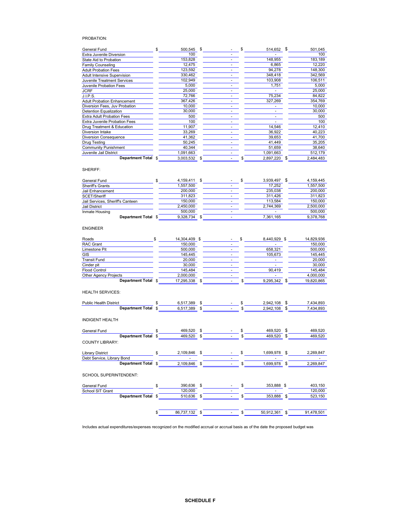## PROBATION:

| <b>General Fund</b>                | 500.545   | -\$ | \$ | 514,652 \$ | 501,045   |
|------------------------------------|-----------|-----|----|------------|-----------|
| Extra Juvenile Diversion           | 100       |     |    |            | 100       |
| State Aid to Probation             | 153,828   |     |    | 148,955    | 183,189   |
| Family Counseling                  | 12,475    |     |    | 6,865      | 12,220    |
| <b>Adult Probation Fees</b>        | 123,592   |     |    | 94,278     | 148,300   |
| <b>Adult Intensive Supervision</b> | 330,462   |     |    | 348,418    | 342,569   |
| Juvenile Treatment Services        | 102,949   |     |    | 103,908    | 106,511   |
| Juvenile Probation Fees            | 5,000     |     |    | 1,751      | 5,000     |
| <b>JCRF</b>                        | 25,000    |     |    |            | 25,000    |
| J.I.P.S.                           | 72,766    |     |    | 75,234     | 84,822    |
| <b>Adult Probation Enhancement</b> | 367,426   |     |    | 327,269    | 354,769   |
| Diversion Fees, Juv Probation      | 10,000    |     |    |            | 10,000    |
| Detention Equalization             | 30,000    |     |    |            | 30,000    |
| <b>Extra Adult Probation Fees</b>  | 500       |     |    |            | 500       |
| Extra Juvenile Probation Fees      | 100       |     |    |            | 100       |
| Drug Treatment & Education         | 11,907    |     |    | 14,546     | 12,410    |
| Diversion Intake                   | 33,269    |     |    | 36,922     | 40,223    |
| <b>Diversion Consequence</b>       | 41,362    |     |    | 39,653     | 41,700    |
| <b>Drug Testing</b>                | 50,245    |     |    | 41,449     | 35,205    |
| <b>Community Punishment</b>        | 40,344    |     |    | 51,659     | 38,640    |
| Juvenile Jail District             | 1,091,663 |     |    | 1,091,663  | 512,179   |
| Department Total \$                | 3,003,532 | \$  |    | 2,897,220  | 2,484,483 |

SHERIFF:

| General Fund                     | 4.159.411 | - |  | 3.939.497 | 4.159.445 |
|----------------------------------|-----------|---|--|-----------|-----------|
| <b>Sheriff's Grants</b>          | 1.557.500 |   |  | 17.252    | 1.557.500 |
| Jail Enhancement                 | 200,000   |   |  | 235.038   | 200,000   |
| SCET/Sheriff                     | 311.823   |   |  | 311.426   | 311.823   |
| Jail Services, Sheriff's Canteen | 150.000   |   |  | 113.584   | 150.000   |
| Jail District                    | 2.450.000 | - |  | 2.744.369 | 2.500.000 |
| Inmate Housing                   | 500.000   | ۰ |  |           | 500,000   |
| Department Total \$              | 9.328.734 | - |  | 7.361.165 | 9.378.768 |

#### ENGINEER

| Roads                        | 14.304.409 \$ | -              | 8.440.929 |        |  | 14.829.936 |
|------------------------------|---------------|----------------|-----------|--------|--|------------|
| <b>RAC Grant</b>             | 150,000       | ۰              |           |        |  | 150.000    |
| Limestone Pit                | 500.000       | $\overline{a}$ | 658.321   |        |  | 500.000    |
| GIS                          | 145.445       |                | 105.673   |        |  | 145.445    |
| Transit Fund                 | 20,000        |                |           |        |  | 20.000     |
| Cinder pit                   | 30,000        | ۰              |           |        |  | 30.000     |
| <b>Flood Control</b>         | 145.484       | -              |           | 90.419 |  | 145.484    |
| <b>Other Agency Projects</b> | 2.000.000     |                |           |        |  | 4.000.000  |
| Department Total \$          | 17.295.338    | $\overline{a}$ | 9.295.342 |        |  | 19.820.865 |

HEALTH SERVICES:

| <b>Public Health District</b> | .389 | - | 2.942.108 | .434.893 |
|-------------------------------|------|---|-----------|----------|
| <b>Department Total</b>       | .389 | - | 2.942.108 | .434.893 |
|                               |      |   |           |          |

INDIGENT HEALTH

| General Fund                  | \$  | 469,520    | \$ | \$ | 469,520      | - \$ | 469,520    |
|-------------------------------|-----|------------|----|----|--------------|------|------------|
| <b>Department Total</b>       | \$  | 469,520    | \$ | \$ | 469,520      | S    | 469,520    |
| <b>COUNTY LIBRARY:</b>        |     |            |    |    |              |      |            |
| <b>Library District</b>       | \$  | 2,109,846  | \$ | \$ | 1,699,978 \$ |      | 2,269,847  |
| Debt Service, Library Bond    |     |            |    |    |              |      |            |
| Department Total \$           |     | 2,109,846  | \$ | S  | 1,699,978    | \$   | 2,269,847  |
| <b>SCHOOL SUPERINTENDENT:</b> |     |            |    |    |              |      |            |
| General Fund                  | \$. | 390,636    | \$ | \$ | 353,888 \$   |      | 403,150    |
| <b>School SIT Grant</b>       |     | 120,000    |    |    |              |      | 120,000    |
| Department Total \$           |     | 510,636    | \$ |    | 353,888      | \$   | 523,150    |
|                               | \$  | 86.737.132 | \$ |    | 50.912.361   | \$   | 91.478.501 |

Includes actual expenditures/expenses recognized on the modified accrual or accrual basis as of the date the proposed budget was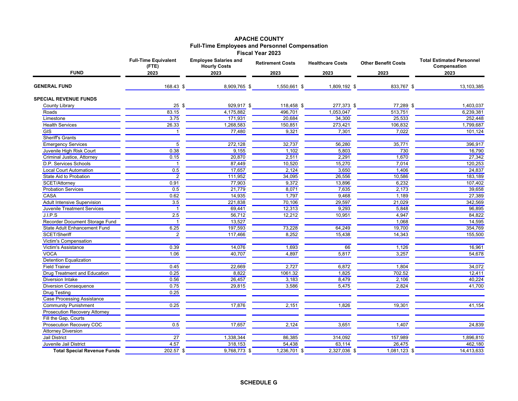# **APACHE COUNTY Full-Time Employees and Personnel Compensation Fiscal Year 2023**

|                                      | <b>Full-Time Equivalent</b><br>(FTE) | <b>Employee Salaries and</b><br><b>Hourly Costs</b> | <b>Retirement Costs</b> | <b>Healthcare Costs</b> | <b>Other Benefit Costs</b> | <b>Total Estimated Personnel</b><br>Compensation |
|--------------------------------------|--------------------------------------|-----------------------------------------------------|-------------------------|-------------------------|----------------------------|--------------------------------------------------|
| <b>FUND</b>                          | 2023<br>2023                         |                                                     | 2023                    | 2023                    | 2023                       | 2023                                             |
| <b>GENERAL FUND</b>                  | 168.43 \$                            | 8,909,765 \$                                        | 1,550,661 \$            | 1,809,192 \$            | 833,767 \$                 | 13,103,385                                       |
| <b>SPECIAL REVENUE FUNDS</b>         |                                      |                                                     |                         |                         |                            |                                                  |
| County Library                       | 25<br>\$                             | 929,917 \$                                          | 118,458 \$              | 277,373 \$              | 77,289 \$                  | 1,403,037                                        |
| Roads                                | 83.15                                | 4,175,882                                           | 496,701                 | 1,053,047               | 513,751                    | 6,239,381                                        |
| Limestone                            | 3.75                                 | 171,931                                             | 20,684                  | 34,300                  | 25,533                     | 252.448                                          |
| <b>Health Services</b>               | 26.33                                | 1,268,583                                           | 150,851                 | 273,421                 | 106,832                    | 1,799,687                                        |
| <b>GIS</b>                           |                                      | 77,480                                              | 9,321                   | 7,301                   | 7,022                      | 101,124                                          |
| <b>Sheriff's Grants</b>              |                                      |                                                     |                         |                         |                            |                                                  |
| <b>Emergency Services</b>            | 5                                    | 272,128                                             | 32,737                  | 56,280                  | 35,771                     | 396,917                                          |
| Juvenile High Risk Court             | 0.38                                 | 9,155                                               | 1,102                   | 5,803                   | 730                        | 16,790                                           |
| Criminal Justice, Attorney           | 0.15                                 | 20,870                                              | 2,511                   | 2,291                   | 1,670                      | 27,342                                           |
| D.P. Services Schools                |                                      | 87,449                                              | 10,520                  | 15,270                  | 7,014                      | 120,253                                          |
| <b>Local Court Automation</b>        | 0.5                                  | 17,657                                              | 2,124                   | 3,650                   | 1,406                      | 24,837                                           |
| State Aid to Probation               | $\overline{2}$                       | 111,952                                             | 34,095                  | 26,556                  | 10,586                     | 183,189                                          |
| SCET/Attorney                        | 0.91                                 | 77,903                                              | 9,372                   | 13,896                  | 6,232                      | 107,402                                          |
| <b>Probation Services</b>            | 0.5                                  | 21,779                                              | 8,071                   | 7,635                   | 2,173                      | 39,658                                           |
| <b>CASA</b>                          | 0.62                                 | 14,935                                              | 1,797                   | 9,468                   | 1,189                      | 27,389                                           |
| <b>Adult Intensive Supervision</b>   | 3.5                                  | 221,838                                             | 70,106                  | 29,597                  | 21,029                     | 342,569                                          |
| Juvenile Treatment Services          | -1                                   | 69,441                                              | 12,313                  | 9,293                   | 5,848                      | 96,895                                           |
| J.I.P.S                              | 2.5                                  | 56,712                                              | 12,212                  | 10,951                  | 4,947                      | 84,822                                           |
| Recorder Document Storage Fund       |                                      | 13,527                                              |                         |                         | 1,068                      | 14,595                                           |
| <b>State Adult Enhancement Fund</b>  | 6.25                                 | 197,593                                             | 73,228                  | 64,249                  | 19,700                     | 354,769                                          |
| SCET/Sheriff                         | $\mathcal{P}$                        | 117,466                                             | 8.252                   | 15,438                  | 14,343                     | 155,500                                          |
| Victim's Compensation                |                                      |                                                     |                         |                         |                            |                                                  |
| Victim's Assistance                  | 0.39                                 | 14,076                                              | 1,693                   | 66                      | 1,126                      | 16,961                                           |
| <b>VOCA</b>                          | 1.06                                 | 40,707                                              | 4,897                   | 5,817                   | 3,257                      | 54,678                                           |
| <b>Detention Equalization</b>        |                                      |                                                     |                         |                         |                            |                                                  |
| <b>Field Trainer</b>                 | 0.45                                 | 22,669                                              | 2,727                   | 6,872                   | 1,804                      | 34,072                                           |
| <b>Drug Treatment and Education</b>  | 0.25                                 | 8,822                                               | 1061.32                 | 1,825                   | 702.52                     | 12,411                                           |
| <b>Diversion Intake</b>              | 0.56                                 | 26,457                                              | 3,183                   | 8,479                   | 2,106                      | 40,224                                           |
| <b>Diversion Consequence</b>         | 0.75                                 | 29,815                                              | 3,586                   | 5,475                   | 2,824                      | 41,700                                           |
| <b>Drug Testing</b>                  | 0.25                                 |                                                     |                         |                         |                            |                                                  |
| <b>Case Processing Assistance</b>    |                                      |                                                     |                         |                         |                            |                                                  |
| <b>Community Punishment</b>          | 0.25                                 | 17,876                                              | 2,151                   | 1,826                   | 19,301                     | 41,154                                           |
| <b>Prosecution Recovery Attorney</b> |                                      |                                                     |                         |                         |                            |                                                  |
| Fill the Gap, Courts                 |                                      |                                                     |                         |                         |                            |                                                  |
| Prosecution Recovery COC             | 0.5                                  | 17,657                                              | 2,124                   | 3,651                   | 1,407                      | 24,839                                           |
| <b>Attorney Diversion</b>            |                                      |                                                     |                         |                         |                            |                                                  |
| <b>Jail District</b>                 | $\overline{27}$                      | 1,338,344                                           | 86,385                  | 314,092                 | 157,989                    | 1,896,810                                        |
| Juvenile Jail District               | 4.57                                 | 318,153                                             | 54,438                  | 63,114                  | 26,475                     | 462,180                                          |
| <b>Total Special Revenue Funds</b>   | $\overline{202.57}$ \$               | 9,768,773 \$                                        | 1,236,701 \$            | $2,327,036$ \$          | 1,081,123 \$               | 14,413,633                                       |